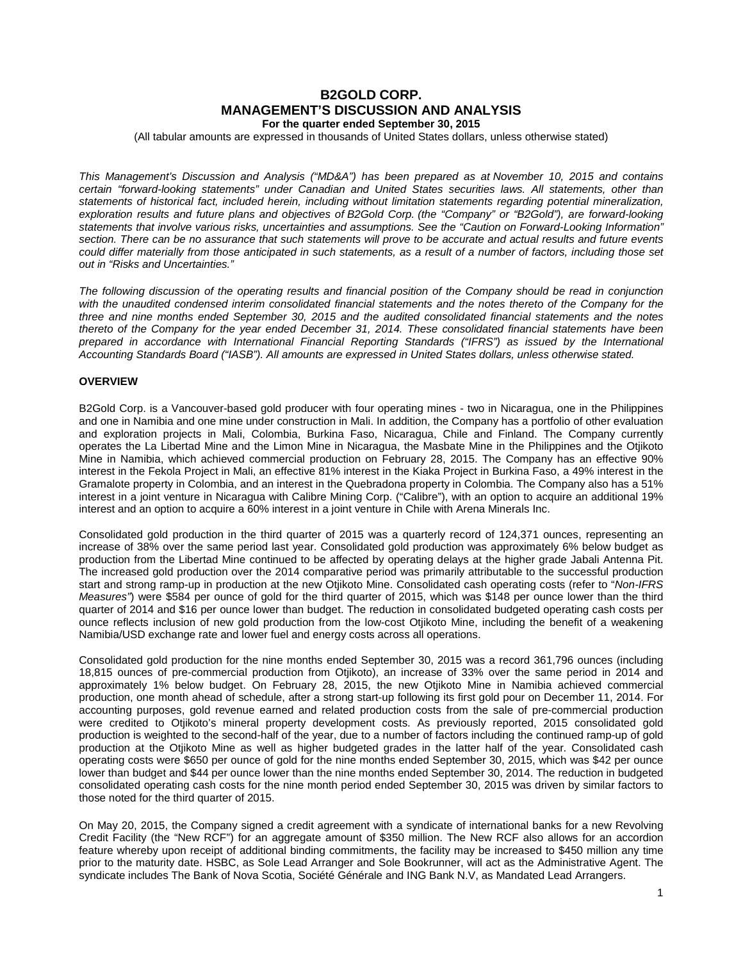# **B2GOLD CORP. MANAGEMENT'S DISCUSSION AND ANALYSIS For the quarter ended September 30, 2015**

(All tabular amounts are expressed in thousands of United States dollars, unless otherwise stated)

*This Management's Discussion and Analysis ("MD&A") has been prepared as at November 10, 2015 and contains certain "forward-looking statements" under Canadian and United States securities laws. All statements, other than statements of historical fact, included herein, including without limitation statements regarding potential mineralization, exploration results and future plans and objectives of B2Gold Corp. (the "Company" or "B2Gold"), are forward-looking statements that involve various risks, uncertainties and assumptions. See the "Caution on Forward-Looking Information" section. There can be no assurance that such statements will prove to be accurate and actual results and future events could differ materially from those anticipated in such statements, as a result of a number of factors, including those set out in "Risks and Uncertainties."*

*The following discussion of the operating results and financial position of the Company should be read in conjunction*  with the unaudited condensed interim consolidated financial statements and the notes thereto of the Company for the *three and nine months ended September 30, 2015 and the audited consolidated financial statements and the notes thereto of the Company for the year ended December 31, 2014. These consolidated financial statements have been*  prepared in accordance with International Financial Reporting Standards ("IFRS") as issued by the International *Accounting Standards Board ("IASB"). All amounts are expressed in United States dollars, unless otherwise stated.*

## **OVERVIEW**

B2Gold Corp. is a Vancouver-based gold producer with four operating mines - two in Nicaragua, one in the Philippines and one in Namibia and one mine under construction in Mali. In addition, the Company has a portfolio of other evaluation and exploration projects in Mali, Colombia, Burkina Faso, Nicaragua, Chile and Finland. The Company currently operates the La Libertad Mine and the Limon Mine in Nicaragua, the Masbate Mine in the Philippines and the Otjikoto Mine in Namibia, which achieved commercial production on February 28, 2015. The Company has an effective 90% interest in the Fekola Project in Mali, an effective 81% interest in the Kiaka Project in Burkina Faso, a 49% interest in the Gramalote property in Colombia, and an interest in the Quebradona property in Colombia. The Company also has a 51% interest in a joint venture in Nicaragua with Calibre Mining Corp. ("Calibre"), with an option to acquire an additional 19% interest and an option to acquire a 60% interest in a joint venture in Chile with Arena Minerals Inc.

Consolidated gold production in the third quarter of 2015 was a quarterly record of 124,371 ounces, representing an increase of 38% over the same period last year. Consolidated gold production was approximately 6% below budget as production from the Libertad Mine continued to be affected by operating delays at the higher grade Jabali Antenna Pit. The increased gold production over the 2014 comparative period was primarily attributable to the successful production start and strong ramp-up in production at the new Otjikoto Mine. Consolidated cash operating costs (refer to "*Non-IFRS Measures"*) were \$584 per ounce of gold for the third quarter of 2015, which was \$148 per ounce lower than the third quarter of 2014 and \$16 per ounce lower than budget. The reduction in consolidated budgeted operating cash costs per ounce reflects inclusion of new gold production from the low-cost Otjikoto Mine, including the benefit of a weakening Namibia/USD exchange rate and lower fuel and energy costs across all operations.

Consolidated gold production for the nine months ended September 30, 2015 was a record 361,796 ounces (including 18,815 ounces of pre-commercial production from Otjikoto), an increase of 33% over the same period in 2014 and approximately 1% below budget. On February 28, 2015, the new Otjikoto Mine in Namibia achieved commercial production, one month ahead of schedule, after a strong start-up following its first gold pour on December 11, 2014. For accounting purposes, gold revenue earned and related production costs from the sale of pre-commercial production were credited to Otjikoto's mineral property development costs. As previously reported, 2015 consolidated gold production is weighted to the second-half of the year, due to a number of factors including the continued ramp-up of gold production at the Otjikoto Mine as well as higher budgeted grades in the latter half of the year. Consolidated cash operating costs were \$650 per ounce of gold for the nine months ended September 30, 2015, which was \$42 per ounce lower than budget and \$44 per ounce lower than the nine months ended September 30, 2014. The reduction in budgeted consolidated operating cash costs for the nine month period ended September 30, 2015 was driven by similar factors to those noted for the third quarter of 2015.

On May 20, 2015, the Company signed a credit agreement with a syndicate of international banks for a new Revolving Credit Facility (the "New RCF") for an aggregate amount of \$350 million. The New RCF also allows for an accordion feature whereby upon receipt of additional binding commitments, the facility may be increased to \$450 million any time prior to the maturity date. HSBC, as Sole Lead Arranger and Sole Bookrunner, will act as the Administrative Agent. The syndicate includes The Bank of Nova Scotia, Société Générale and ING Bank N.V, as Mandated Lead Arrangers.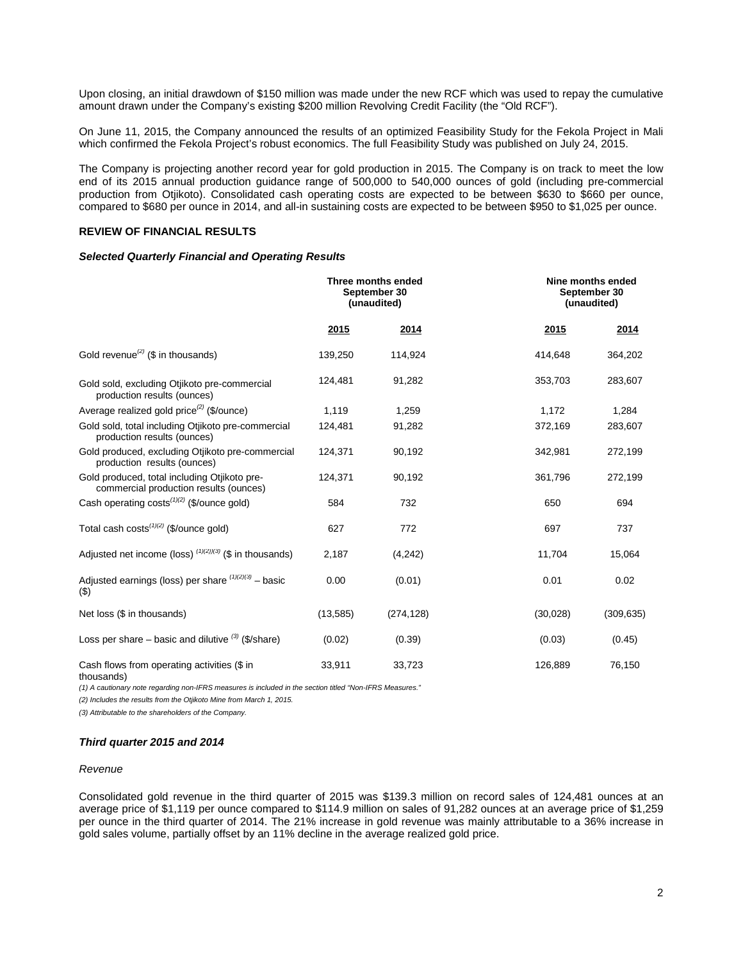Upon closing, an initial drawdown of \$150 million was made under the new RCF which was used to repay the cumulative amount drawn under the Company's existing \$200 million Revolving Credit Facility (the "Old RCF").

On June 11, 2015, the Company announced the results of an optimized Feasibility Study for the Fekola Project in Mali which confirmed the Fekola Project's robust economics. The full Feasibility Study was published on July 24, 2015.

The Company is projecting another record year for gold production in 2015. The Company is on track to meet the low end of its 2015 annual production guidance range of 500,000 to 540,000 ounces of gold (including pre-commercial production from Otjikoto). Consolidated cash operating costs are expected to be between \$630 to \$660 per ounce, compared to \$680 per ounce in 2014, and all-in sustaining costs are expected to be between \$950 to \$1,025 per ounce.

#### **REVIEW OF FINANCIAL RESULTS**

#### *Selected Quarterly Financial and Operating Results*

|                                                                                        |           | Three months ended<br>September 30<br>(unaudited) |           | Nine months ended<br>September 30<br>(unaudited) |
|----------------------------------------------------------------------------------------|-----------|---------------------------------------------------|-----------|--------------------------------------------------|
|                                                                                        | 2015      | 2014                                              | 2015      | 2014                                             |
| Gold revenue <sup>(2)</sup> ( $\$$ in thousands)                                       | 139,250   | 114,924                                           | 414,648   | 364,202                                          |
| Gold sold, excluding Otjikoto pre-commercial<br>production results (ounces)            | 124,481   | 91,282                                            | 353,703   | 283,607                                          |
| Average realized gold price <sup>(2)</sup> (\$/ounce)                                  | 1,119     | 1,259                                             | 1,172     | 1,284                                            |
| Gold sold, total including Otjikoto pre-commercial<br>production results (ounces)      | 124,481   | 91,282                                            | 372,169   | 283,607                                          |
| Gold produced, excluding Otjikoto pre-commercial<br>production results (ounces)        | 124,371   | 90,192                                            | 342,981   | 272,199                                          |
| Gold produced, total including Otjikoto pre-<br>commercial production results (ounces) | 124,371   | 90,192                                            | 361,796   | 272,199                                          |
| Cash operating $costs^{(1)(2)}$ (\$/ounce gold)                                        | 584       | 732                                               | 650       | 694                                              |
| Total cash costs <sup>(1)(2)</sup> (\$/ounce gold)                                     | 627       | 772                                               | 697       | 737                                              |
| Adjusted net income (loss) $(1)(2)(3)$ (\$ in thousands)                               | 2,187     | (4,242)                                           | 11,704    | 15,064                                           |
| Adjusted earnings (loss) per share $(1)(2)(3)$ – basic<br>$(\$)$                       | 0.00      | (0.01)                                            | 0.01      | 0.02                                             |
| Net loss (\$ in thousands)                                                             | (13, 585) | (274, 128)                                        | (30, 028) | (309, 635)                                       |
| Loss per share – basic and dilutive $(3)$ (\$/share)                                   | (0.02)    | (0.39)                                            | (0.03)    | (0.45)                                           |
| Cash flows from operating activities (\$ in<br>tho(1)                                  | 33,911    | 33,723                                            | 126,889   | 76,150                                           |

thousands) *(1) A cautionary note regarding non-IFRS measures is included in the section titled "Non-IFRS Measures."* 

*(2) Includes the results from the Otjikoto Mine from March 1, 2015.*

*(3) Attributable to the shareholders of the Company.*

#### *Third quarter 2015 and 2014*

#### *Revenue*

Consolidated gold revenue in the third quarter of 2015 was \$139.3 million on record sales of 124,481 ounces at an average price of \$1,119 per ounce compared to \$114.9 million on sales of 91,282 ounces at an average price of \$1,259 per ounce in the third quarter of 2014. The 21% increase in gold revenue was mainly attributable to a 36% increase in gold sales volume, partially offset by an 11% decline in the average realized gold price.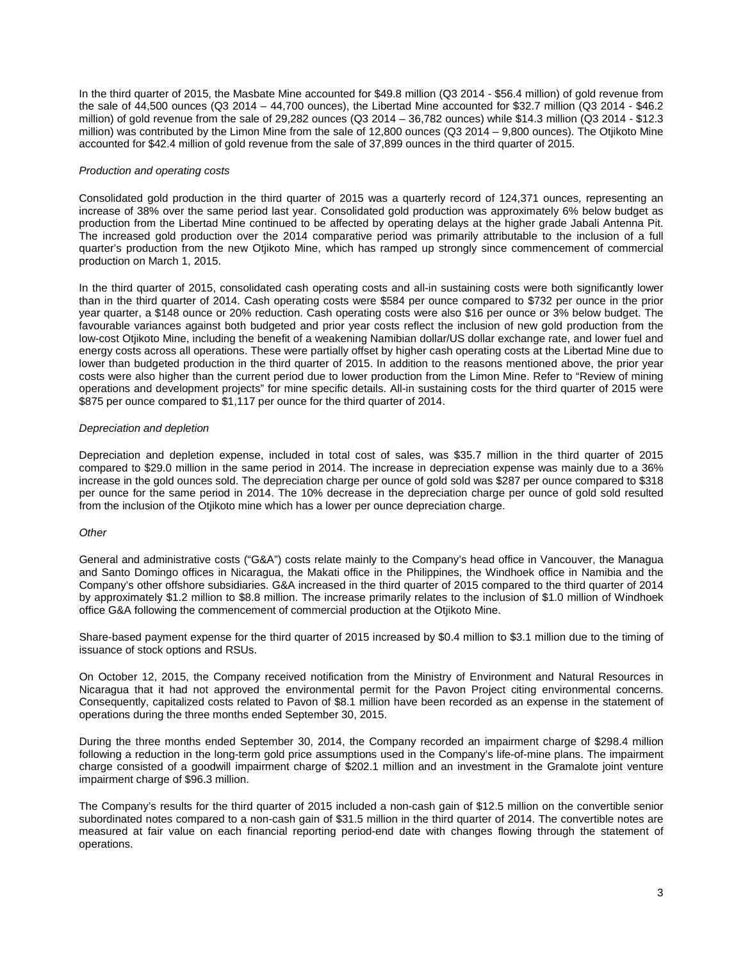In the third quarter of 2015, the Masbate Mine accounted for \$49.8 million (Q3 2014 - \$56.4 million) of gold revenue from the sale of 44,500 ounces (Q3 2014 – 44,700 ounces), the Libertad Mine accounted for \$32.7 million (Q3 2014 - \$46.2 million) of gold revenue from the sale of 29,282 ounces (Q3 2014 – 36,782 ounces) while \$14.3 million (Q3 2014 - \$12.3 million) was contributed by the Limon Mine from the sale of 12,800 ounces (Q3 2014 – 9,800 ounces). The Otjikoto Mine accounted for \$42.4 million of gold revenue from the sale of 37,899 ounces in the third quarter of 2015.

#### *Production and operating costs*

Consolidated gold production in the third quarter of 2015 was a quarterly record of 124,371 ounces, representing an increase of 38% over the same period last year. Consolidated gold production was approximately 6% below budget as production from the Libertad Mine continued to be affected by operating delays at the higher grade Jabali Antenna Pit. The increased gold production over the 2014 comparative period was primarily attributable to the inclusion of a full quarter's production from the new Otjikoto Mine, which has ramped up strongly since commencement of commercial production on March 1, 2015.

In the third quarter of 2015, consolidated cash operating costs and all-in sustaining costs were both significantly lower than in the third quarter of 2014. Cash operating costs were \$584 per ounce compared to \$732 per ounce in the prior year quarter, a \$148 ounce or 20% reduction. Cash operating costs were also \$16 per ounce or 3% below budget. The favourable variances against both budgeted and prior year costs reflect the inclusion of new gold production from the low-cost Otjikoto Mine, including the benefit of a weakening Namibian dollar/US dollar exchange rate, and lower fuel and energy costs across all operations. These were partially offset by higher cash operating costs at the Libertad Mine due to lower than budgeted production in the third quarter of 2015. In addition to the reasons mentioned above, the prior year costs were also higher than the current period due to lower production from the Limon Mine. Refer to "Review of mining operations and development projects" for mine specific details. All-in sustaining costs for the third quarter of 2015 were \$875 per ounce compared to \$1,117 per ounce for the third quarter of 2014.

## *Depreciation and depletion*

Depreciation and depletion expense, included in total cost of sales, was \$35.7 million in the third quarter of 2015 compared to \$29.0 million in the same period in 2014. The increase in depreciation expense was mainly due to a 36% increase in the gold ounces sold. The depreciation charge per ounce of gold sold was \$287 per ounce compared to \$318 per ounce for the same period in 2014. The 10% decrease in the depreciation charge per ounce of gold sold resulted from the inclusion of the Otjikoto mine which has a lower per ounce depreciation charge.

## *Other*

General and administrative costs ("G&A") costs relate mainly to the Company's head office in Vancouver, the Managua and Santo Domingo offices in Nicaragua, the Makati office in the Philippines, the Windhoek office in Namibia and the Company's other offshore subsidiaries. G&A increased in the third quarter of 2015 compared to the third quarter of 2014 by approximately \$1.2 million to \$8.8 million. The increase primarily relates to the inclusion of \$1.0 million of Windhoek office G&A following the commencement of commercial production at the Otjikoto Mine.

Share-based payment expense for the third quarter of 2015 increased by \$0.4 million to \$3.1 million due to the timing of issuance of stock options and RSUs.

On October 12, 2015, the Company received notification from the Ministry of Environment and Natural Resources in Nicaragua that it had not approved the environmental permit for the Pavon Project citing environmental concerns. Consequently, capitalized costs related to Pavon of \$8.1 million have been recorded as an expense in the statement of operations during the three months ended September 30, 2015.

During the three months ended September 30, 2014, the Company recorded an impairment charge of \$298.4 million following a reduction in the long-term gold price assumptions used in the Company's life-of-mine plans. The impairment charge consisted of a goodwill impairment charge of \$202.1 million and an investment in the Gramalote joint venture impairment charge of \$96.3 million.

The Company's results for the third quarter of 2015 included a non-cash gain of \$12.5 million on the convertible senior subordinated notes compared to a non-cash gain of \$31.5 million in the third quarter of 2014. The convertible notes are measured at fair value on each financial reporting period-end date with changes flowing through the statement of operations.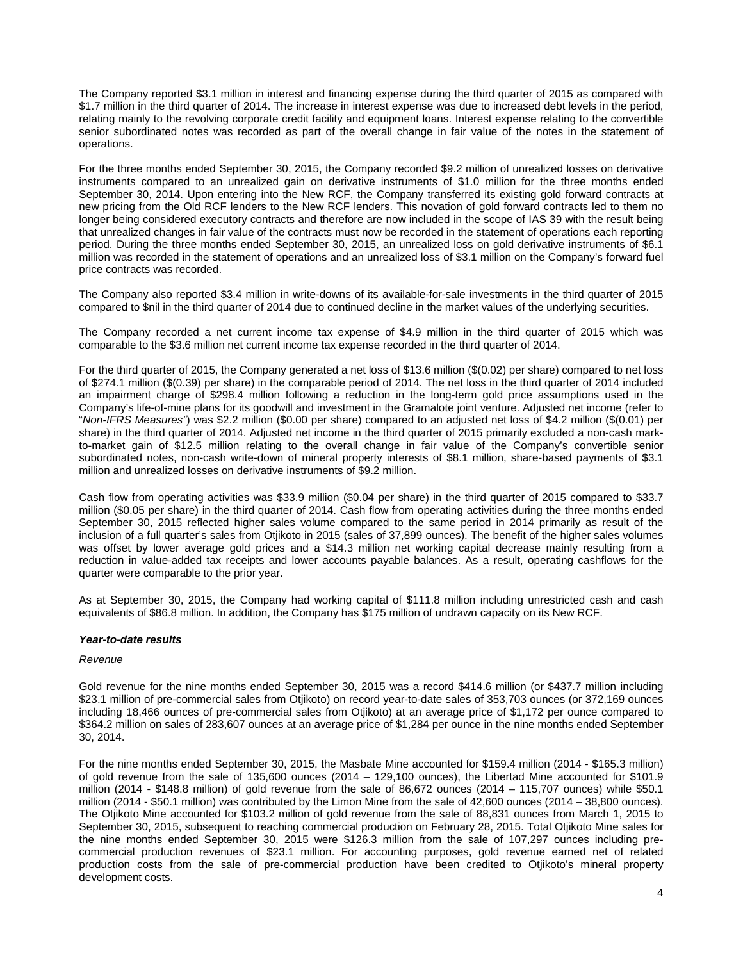The Company reported \$3.1 million in interest and financing expense during the third quarter of 2015 as compared with \$1.7 million in the third quarter of 2014. The increase in interest expense was due to increased debt levels in the period, relating mainly to the revolving corporate credit facility and equipment loans. Interest expense relating to the convertible senior subordinated notes was recorded as part of the overall change in fair value of the notes in the statement of operations.

For the three months ended September 30, 2015, the Company recorded \$9.2 million of unrealized losses on derivative instruments compared to an unrealized gain on derivative instruments of \$1.0 million for the three months ended September 30, 2014. Upon entering into the New RCF, the Company transferred its existing gold forward contracts at new pricing from the Old RCF lenders to the New RCF lenders. This novation of gold forward contracts led to them no longer being considered executory contracts and therefore are now included in the scope of IAS 39 with the result being that unrealized changes in fair value of the contracts must now be recorded in the statement of operations each reporting period. During the three months ended September 30, 2015, an unrealized loss on gold derivative instruments of \$6.1 million was recorded in the statement of operations and an unrealized loss of \$3.1 million on the Company's forward fuel price contracts was recorded.

The Company also reported \$3.4 million in write-downs of its available-for-sale investments in the third quarter of 2015 compared to \$nil in the third quarter of 2014 due to continued decline in the market values of the underlying securities.

The Company recorded a net current income tax expense of \$4.9 million in the third quarter of 2015 which was comparable to the \$3.6 million net current income tax expense recorded in the third quarter of 2014.

For the third quarter of 2015, the Company generated a net loss of \$13.6 million (\$(0.02) per share) compared to net loss of \$274.1 million (\$(0.39) per share) in the comparable period of 2014. The net loss in the third quarter of 2014 included an impairment charge of \$298.4 million following a reduction in the long-term gold price assumptions used in the Company's life-of-mine plans for its goodwill and investment in the Gramalote joint venture. Adjusted net income (refer to "*Non-IFRS Measures"*) was \$2.2 million (\$0.00 per share) compared to an adjusted net loss of \$4.2 million (\$(0.01) per share) in the third quarter of 2014. Adjusted net income in the third quarter of 2015 primarily excluded a non-cash markto-market gain of \$12.5 million relating to the overall change in fair value of the Company's convertible senior subordinated notes, non-cash write-down of mineral property interests of \$8.1 million, share-based payments of \$3.1 million and unrealized losses on derivative instruments of \$9.2 million.

Cash flow from operating activities was \$33.9 million (\$0.04 per share) in the third quarter of 2015 compared to \$33.7 million (\$0.05 per share) in the third quarter of 2014. Cash flow from operating activities during the three months ended September 30, 2015 reflected higher sales volume compared to the same period in 2014 primarily as result of the inclusion of a full quarter's sales from Otjikoto in 2015 (sales of 37,899 ounces). The benefit of the higher sales volumes was offset by lower average gold prices and a \$14.3 million net working capital decrease mainly resulting from a reduction in value-added tax receipts and lower accounts payable balances. As a result, operating cashflows for the quarter were comparable to the prior year.

As at September 30, 2015, the Company had working capital of \$111.8 million including unrestricted cash and cash equivalents of \$86.8 million. In addition, the Company has \$175 million of undrawn capacity on its New RCF.

#### *Year-to-date results*

#### *Revenue*

Gold revenue for the nine months ended September 30, 2015 was a record \$414.6 million (or \$437.7 million including \$23.1 million of pre-commercial sales from Otjikoto) on record year-to-date sales of 353,703 ounces (or 372,169 ounces including 18,466 ounces of pre-commercial sales from Otjikoto) at an average price of \$1,172 per ounce compared to \$364.2 million on sales of 283,607 ounces at an average price of \$1,284 per ounce in the nine months ended September 30, 2014.

For the nine months ended September 30, 2015, the Masbate Mine accounted for \$159.4 million (2014 - \$165.3 million) of gold revenue from the sale of 135,600 ounces (2014 – 129,100 ounces), the Libertad Mine accounted for \$101.9 million (2014 - \$148.8 million) of gold revenue from the sale of 86,672 ounces (2014 – 115,707 ounces) while \$50.1 million (2014 - \$50.1 million) was contributed by the Limon Mine from the sale of 42,600 ounces (2014 – 38,800 ounces). The Otjikoto Mine accounted for \$103.2 million of gold revenue from the sale of 88,831 ounces from March 1, 2015 to September 30, 2015, subsequent to reaching commercial production on February 28, 2015. Total Otjikoto Mine sales for the nine months ended September 30, 2015 were \$126.3 million from the sale of 107,297 ounces including precommercial production revenues of \$23.1 million. For accounting purposes, gold revenue earned net of related production costs from the sale of pre-commercial production have been credited to Otjikoto's mineral property development costs.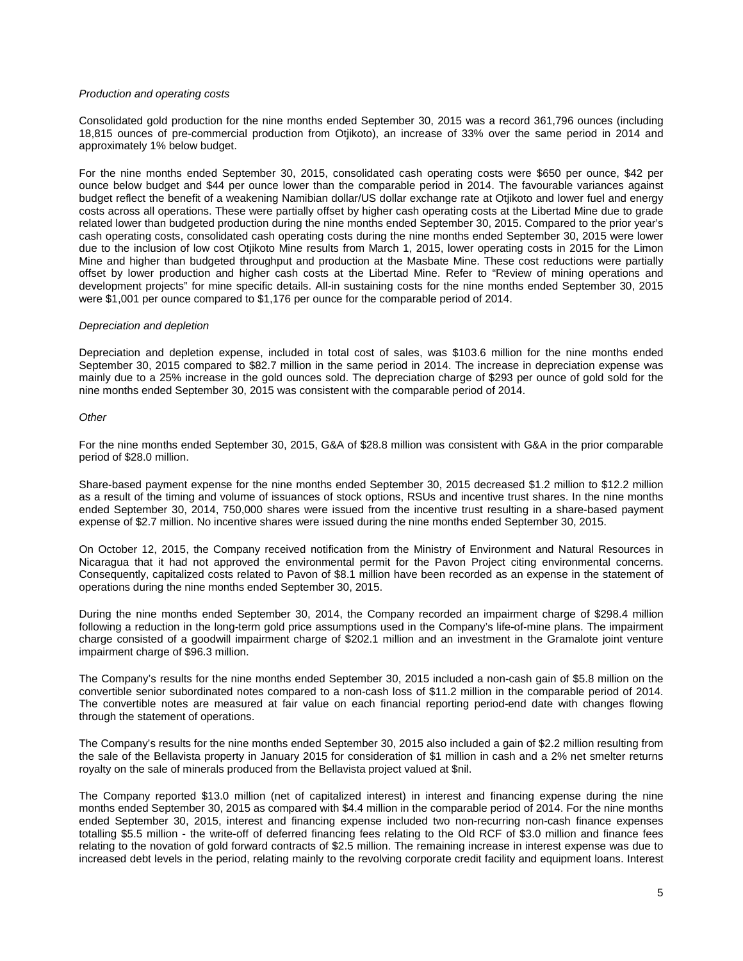#### *Production and operating costs*

Consolidated gold production for the nine months ended September 30, 2015 was a record 361,796 ounces (including 18,815 ounces of pre-commercial production from Otjikoto), an increase of 33% over the same period in 2014 and approximately 1% below budget.

For the nine months ended September 30, 2015, consolidated cash operating costs were \$650 per ounce, \$42 per ounce below budget and \$44 per ounce lower than the comparable period in 2014. The favourable variances against budget reflect the benefit of a weakening Namibian dollar/US dollar exchange rate at Otjikoto and lower fuel and energy costs across all operations. These were partially offset by higher cash operating costs at the Libertad Mine due to grade related lower than budgeted production during the nine months ended September 30, 2015. Compared to the prior year's cash operating costs, consolidated cash operating costs during the nine months ended September 30, 2015 were lower due to the inclusion of low cost Otjikoto Mine results from March 1, 2015, lower operating costs in 2015 for the Limon Mine and higher than budgeted throughput and production at the Masbate Mine. These cost reductions were partially offset by lower production and higher cash costs at the Libertad Mine. Refer to "Review of mining operations and development projects" for mine specific details. All-in sustaining costs for the nine months ended September 30, 2015 were \$1,001 per ounce compared to \$1,176 per ounce for the comparable period of 2014.

#### *Depreciation and depletion*

Depreciation and depletion expense, included in total cost of sales, was \$103.6 million for the nine months ended September 30, 2015 compared to \$82.7 million in the same period in 2014. The increase in depreciation expense was mainly due to a 25% increase in the gold ounces sold. The depreciation charge of \$293 per ounce of gold sold for the nine months ended September 30, 2015 was consistent with the comparable period of 2014.

#### *Other*

For the nine months ended September 30, 2015, G&A of \$28.8 million was consistent with G&A in the prior comparable period of \$28.0 million.

Share-based payment expense for the nine months ended September 30, 2015 decreased \$1.2 million to \$12.2 million as a result of the timing and volume of issuances of stock options, RSUs and incentive trust shares. In the nine months ended September 30, 2014, 750,000 shares were issued from the incentive trust resulting in a share-based payment expense of \$2.7 million. No incentive shares were issued during the nine months ended September 30, 2015.

On October 12, 2015, the Company received notification from the Ministry of Environment and Natural Resources in Nicaragua that it had not approved the environmental permit for the Pavon Project citing environmental concerns. Consequently, capitalized costs related to Pavon of \$8.1 million have been recorded as an expense in the statement of operations during the nine months ended September 30, 2015.

During the nine months ended September 30, 2014, the Company recorded an impairment charge of \$298.4 million following a reduction in the long-term gold price assumptions used in the Company's life-of-mine plans. The impairment charge consisted of a goodwill impairment charge of \$202.1 million and an investment in the Gramalote joint venture impairment charge of \$96.3 million.

The Company's results for the nine months ended September 30, 2015 included a non-cash gain of \$5.8 million on the convertible senior subordinated notes compared to a non-cash loss of \$11.2 million in the comparable period of 2014. The convertible notes are measured at fair value on each financial reporting period-end date with changes flowing through the statement of operations.

The Company's results for the nine months ended September 30, 2015 also included a gain of \$2.2 million resulting from the sale of the Bellavista property in January 2015 for consideration of \$1 million in cash and a 2% net smelter returns royalty on the sale of minerals produced from the Bellavista project valued at \$nil.

The Company reported \$13.0 million (net of capitalized interest) in interest and financing expense during the nine months ended September 30, 2015 as compared with \$4.4 million in the comparable period of 2014. For the nine months ended September 30, 2015, interest and financing expense included two non-recurring non-cash finance expenses totalling \$5.5 million - the write-off of deferred financing fees relating to the Old RCF of \$3.0 million and finance fees relating to the novation of gold forward contracts of \$2.5 million. The remaining increase in interest expense was due to increased debt levels in the period, relating mainly to the revolving corporate credit facility and equipment loans. Interest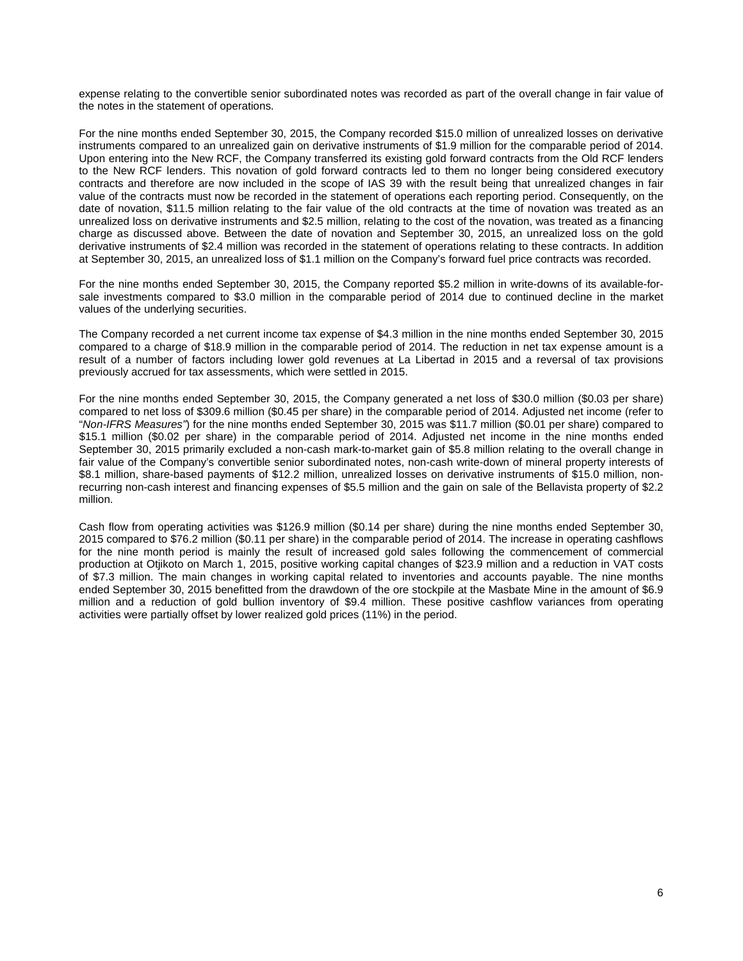expense relating to the convertible senior subordinated notes was recorded as part of the overall change in fair value of the notes in the statement of operations.

For the nine months ended September 30, 2015, the Company recorded \$15.0 million of unrealized losses on derivative instruments compared to an unrealized gain on derivative instruments of \$1.9 million for the comparable period of 2014. Upon entering into the New RCF, the Company transferred its existing gold forward contracts from the Old RCF lenders to the New RCF lenders. This novation of gold forward contracts led to them no longer being considered executory contracts and therefore are now included in the scope of IAS 39 with the result being that unrealized changes in fair value of the contracts must now be recorded in the statement of operations each reporting period. Consequently, on the date of novation, \$11.5 million relating to the fair value of the old contracts at the time of novation was treated as an unrealized loss on derivative instruments and \$2.5 million, relating to the cost of the novation, was treated as a financing charge as discussed above. Between the date of novation and September 30, 2015, an unrealized loss on the gold derivative instruments of \$2.4 million was recorded in the statement of operations relating to these contracts. In addition at September 30, 2015, an unrealized loss of \$1.1 million on the Company's forward fuel price contracts was recorded.

For the nine months ended September 30, 2015, the Company reported \$5.2 million in write-downs of its available-forsale investments compared to \$3.0 million in the comparable period of 2014 due to continued decline in the market values of the underlying securities.

The Company recorded a net current income tax expense of \$4.3 million in the nine months ended September 30, 2015 compared to a charge of \$18.9 million in the comparable period of 2014. The reduction in net tax expense amount is a result of a number of factors including lower gold revenues at La Libertad in 2015 and a reversal of tax provisions previously accrued for tax assessments, which were settled in 2015.

For the nine months ended September 30, 2015, the Company generated a net loss of \$30.0 million (\$0.03 per share) compared to net loss of \$309.6 million (\$0.45 per share) in the comparable period of 2014. Adjusted net income (refer to "*Non-IFRS Measures"*) for the nine months ended September 30, 2015 was \$11.7 million (\$0.01 per share) compared to \$15.1 million (\$0.02 per share) in the comparable period of 2014. Adjusted net income in the nine months ended September 30, 2015 primarily excluded a non-cash mark-to-market gain of \$5.8 million relating to the overall change in fair value of the Company's convertible senior subordinated notes, non-cash write-down of mineral property interests of \$8.1 million, share-based payments of \$12.2 million, unrealized losses on derivative instruments of \$15.0 million, nonrecurring non-cash interest and financing expenses of \$5.5 million and the gain on sale of the Bellavista property of \$2.2 million.

Cash flow from operating activities was \$126.9 million (\$0.14 per share) during the nine months ended September 30, 2015 compared to \$76.2 million (\$0.11 per share) in the comparable period of 2014. The increase in operating cashflows for the nine month period is mainly the result of increased gold sales following the commencement of commercial production at Otjikoto on March 1, 2015, positive working capital changes of \$23.9 million and a reduction in VAT costs of \$7.3 million. The main changes in working capital related to inventories and accounts payable. The nine months ended September 30, 2015 benefitted from the drawdown of the ore stockpile at the Masbate Mine in the amount of \$6.9 million and a reduction of gold bullion inventory of \$9.4 million. These positive cashflow variances from operating activities were partially offset by lower realized gold prices (11%) in the period.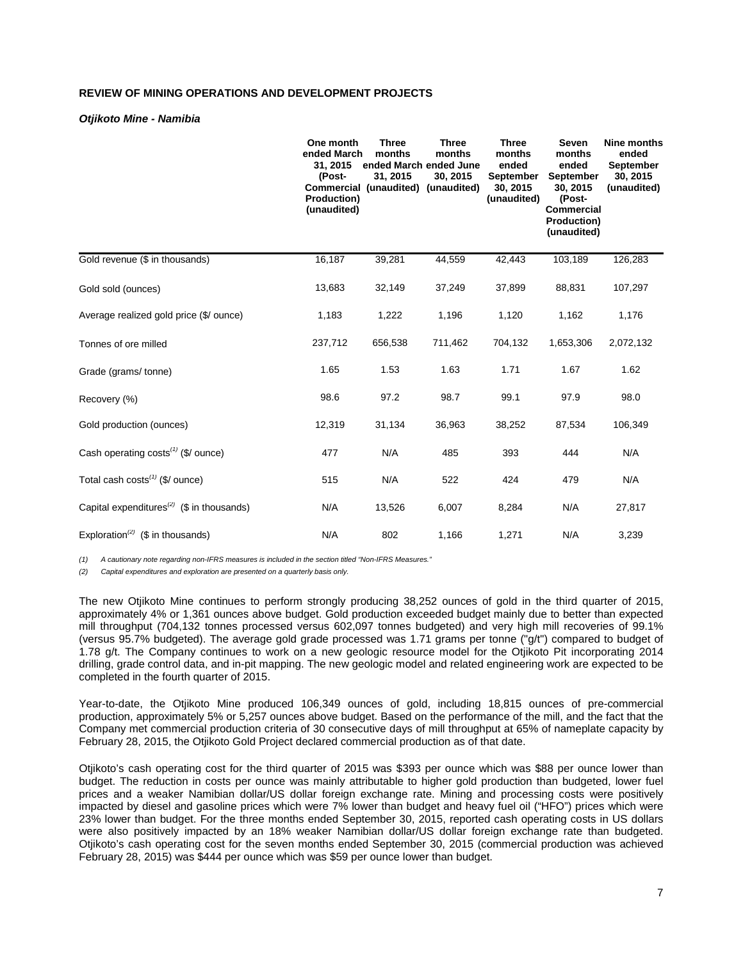# **REVIEW OF MINING OPERATIONS AND DEVELOPMENT PROJECTS**

#### *Otjikoto Mine - Namibia*

|                                                       | One month<br>ended March<br>31, 2015<br>(Post-<br>Production)<br>(unaudited) | <b>Three</b><br>months<br>ended March ended June<br>31, 2015<br>Commercial (unaudited) (unaudited) | <b>Three</b><br>months<br>30, 2015 | <b>Three</b><br>months<br>ended<br>September<br>30, 2015<br>(unaudited) | <b>Seven</b><br>months<br>ended<br><b>September</b><br>30, 2015<br>(Post-<br><b>Commercial</b><br>Production)<br>(unaudited) | Nine months<br>ended<br><b>September</b><br>30, 2015<br>(unaudited) |
|-------------------------------------------------------|------------------------------------------------------------------------------|----------------------------------------------------------------------------------------------------|------------------------------------|-------------------------------------------------------------------------|------------------------------------------------------------------------------------------------------------------------------|---------------------------------------------------------------------|
| Gold revenue (\$ in thousands)                        | 16,187                                                                       | 39,281                                                                                             | 44,559                             | 42,443                                                                  | 103,189                                                                                                                      | 126,283                                                             |
| Gold sold (ounces)                                    | 13,683                                                                       | 32,149                                                                                             | 37,249                             | 37,899                                                                  | 88,831                                                                                                                       | 107,297                                                             |
| Average realized gold price (\$/ ounce)               | 1,183                                                                        | 1,222                                                                                              | 1,196                              | 1,120                                                                   | 1,162                                                                                                                        | 1,176                                                               |
| Tonnes of ore milled                                  | 237,712                                                                      | 656,538                                                                                            | 711,462                            | 704,132                                                                 | 1,653,306                                                                                                                    | 2,072,132                                                           |
| Grade (grams/tonne)                                   | 1.65                                                                         | 1.53                                                                                               | 1.63                               | 1.71                                                                    | 1.67                                                                                                                         | 1.62                                                                |
| Recovery (%)                                          | 98.6                                                                         | 97.2                                                                                               | 98.7                               | 99.1                                                                    | 97.9                                                                                                                         | 98.0                                                                |
| Gold production (ounces)                              | 12,319                                                                       | 31,134                                                                                             | 36,963                             | 38,252                                                                  | 87,534                                                                                                                       | 106,349                                                             |
| Cash operating costs <sup>(1)</sup> (\$/ ounce)       | 477                                                                          | N/A                                                                                                | 485                                | 393                                                                     | 444                                                                                                                          | N/A                                                                 |
| Total cash $costs^{(1)}$ (\$/ ounce)                  | 515                                                                          | N/A                                                                                                | 522                                | 424                                                                     | 479                                                                                                                          | N/A                                                                 |
| Capital expenditures <sup>(2)</sup> (\$ in thousands) | N/A                                                                          | 13,526                                                                                             | 6,007                              | 8,284                                                                   | N/A                                                                                                                          | 27,817                                                              |
| Exploration <sup>(2)</sup> (\$ in thousands)          | N/A                                                                          | 802                                                                                                | 1,166                              | 1,271                                                                   | N/A                                                                                                                          | 3,239                                                               |

*(1) A cautionary note regarding non-IFRS measures is included in the section titled "Non-IFRS Measures."*

*(2) Capital expenditures and exploration are presented on a quarterly basis only.*

The new Otjikoto Mine continues to perform strongly producing 38,252 ounces of gold in the third quarter of 2015, approximately 4% or 1,361 ounces above budget. Gold production exceeded budget mainly due to better than expected mill throughput (704,132 tonnes processed versus 602,097 tonnes budgeted) and very high mill recoveries of 99.1% (versus 95.7% budgeted). The average gold grade processed was 1.71 grams per tonne ("g/t") compared to budget of 1.78 g/t. The Company continues to work on a new geologic resource model for the Otjikoto Pit incorporating 2014 drilling, grade control data, and in-pit mapping. The new geologic model and related engineering work are expected to be completed in the fourth quarter of 2015.

Year-to-date, the Otjikoto Mine produced 106,349 ounces of gold, including 18,815 ounces of pre-commercial production, approximately 5% or 5,257 ounces above budget. Based on the performance of the mill, and the fact that the Company met commercial production criteria of 30 consecutive days of mill throughput at 65% of nameplate capacity by February 28, 2015, the Otjikoto Gold Project declared commercial production as of that date.

Otjikoto's cash operating cost for the third quarter of 2015 was \$393 per ounce which was \$88 per ounce lower than budget. The reduction in costs per ounce was mainly attributable to higher gold production than budgeted, lower fuel prices and a weaker Namibian dollar/US dollar foreign exchange rate. Mining and processing costs were positively impacted by diesel and gasoline prices which were 7% lower than budget and heavy fuel oil ("HFO") prices which were 23% lower than budget. For the three months ended September 30, 2015, reported cash operating costs in US dollars were also positively impacted by an 18% weaker Namibian dollar/US dollar foreign exchange rate than budgeted. Otjikoto's cash operating cost for the seven months ended September 30, 2015 (commercial production was achieved February 28, 2015) was \$444 per ounce which was \$59 per ounce lower than budget.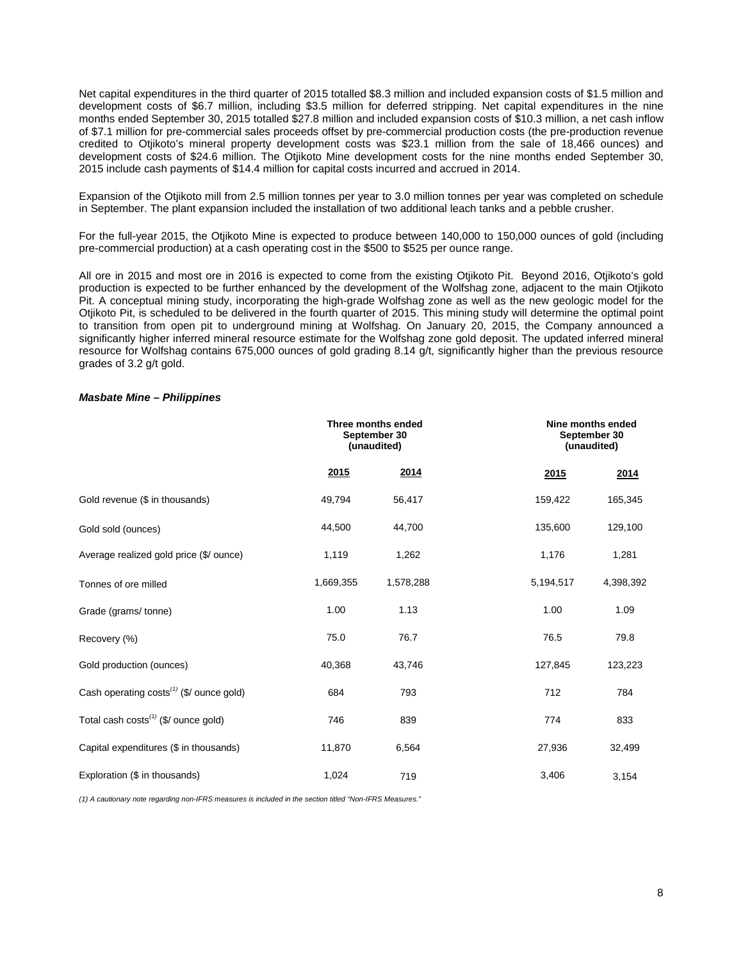Net capital expenditures in the third quarter of 2015 totalled \$8.3 million and included expansion costs of \$1.5 million and development costs of \$6.7 million, including \$3.5 million for deferred stripping. Net capital expenditures in the nine months ended September 30, 2015 totalled \$27.8 million and included expansion costs of \$10.3 million, a net cash inflow of \$7.1 million for pre-commercial sales proceeds offset by pre-commercial production costs (the pre-production revenue credited to Otjikoto's mineral property development costs was \$23.1 million from the sale of 18,466 ounces) and development costs of \$24.6 million. The Otjikoto Mine development costs for the nine months ended September 30, 2015 include cash payments of \$14.4 million for capital costs incurred and accrued in 2014.

Expansion of the Otjikoto mill from 2.5 million tonnes per year to 3.0 million tonnes per year was completed on schedule in September. The plant expansion included the installation of two additional leach tanks and a pebble crusher.

For the full-year 2015, the Otjikoto Mine is expected to produce between 140,000 to 150,000 ounces of gold (including pre-commercial production) at a cash operating cost in the \$500 to \$525 per ounce range.

All ore in 2015 and most ore in 2016 is expected to come from the existing Otjikoto Pit. Beyond 2016, Otjikoto's gold production is expected to be further enhanced by the development of the Wolfshag zone, adjacent to the main Otjikoto Pit. A conceptual mining study, incorporating the high-grade Wolfshag zone as well as the new geologic model for the Otjikoto Pit, is scheduled to be delivered in the fourth quarter of 2015. This mining study will determine the optimal point to transition from open pit to underground mining at Wolfshag. On January 20, 2015, the Company announced a significantly higher inferred mineral resource estimate for the Wolfshag zone gold deposit. The updated inferred mineral resource for Wolfshag contains 675,000 ounces of gold grading 8.14 g/t, significantly higher than the previous resource grades of 3.2 g/t gold.

#### *Masbate Mine – Philippines*

|                                                      |           | Three months ended<br>September 30<br>(unaudited) |           | Nine months ended<br>September 30<br>(unaudited) |
|------------------------------------------------------|-----------|---------------------------------------------------|-----------|--------------------------------------------------|
|                                                      | 2015      | 2014                                              | 2015      | 2014                                             |
| Gold revenue (\$ in thousands)                       | 49,794    | 56,417                                            | 159,422   | 165,345                                          |
| Gold sold (ounces)                                   | 44,500    | 44,700                                            | 135,600   | 129,100                                          |
| Average realized gold price (\$/ ounce)              | 1,119     | 1,262                                             | 1,176     | 1,281                                            |
| Tonnes of ore milled                                 | 1,669,355 | 1,578,288                                         | 5,194,517 | 4,398,392                                        |
| Grade (grams/tonne)                                  | 1.00      | 1.13                                              | 1.00      | 1.09                                             |
| Recovery (%)                                         | 75.0      | 76.7                                              | 76.5      | 79.8                                             |
| Gold production (ounces)                             | 40,368    | 43,746                                            | 127,845   | 123,223                                          |
| Cash operating costs <sup>(1)</sup> (\$/ ounce gold) | 684       | 793                                               | 712       | 784                                              |
| Total cash costs <sup>(1)</sup> (\$/ ounce gold)     | 746       | 839                                               | 774       | 833                                              |
| Capital expenditures (\$ in thousands)               | 11,870    | 6,564                                             | 27,936    | 32,499                                           |
| Exploration (\$ in thousands)                        | 1,024     | 719                                               | 3,406     | 3,154                                            |

*(1) A cautionary note regarding non-IFRS measures is included in the section titled "Non-IFRS Measures."*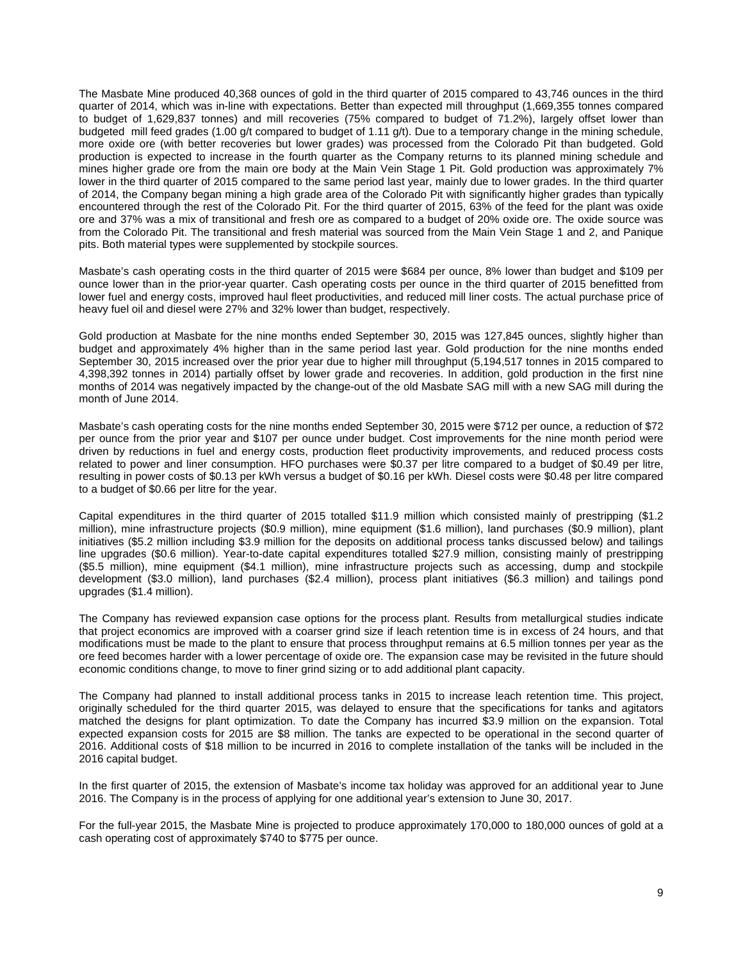The Masbate Mine produced 40,368 ounces of gold in the third quarter of 2015 compared to 43,746 ounces in the third quarter of 2014, which was in-line with expectations. Better than expected mill throughput (1,669,355 tonnes compared to budget of 1,629,837 tonnes) and mill recoveries (75% compared to budget of 71.2%), largely offset lower than budgeted mill feed grades (1.00 g/t compared to budget of 1.11 g/t). Due to a temporary change in the mining schedule, more oxide ore (with better recoveries but lower grades) was processed from the Colorado Pit than budgeted. Gold production is expected to increase in the fourth quarter as the Company returns to its planned mining schedule and mines higher grade ore from the main ore body at the Main Vein Stage 1 Pit. Gold production was approximately 7% lower in the third quarter of 2015 compared to the same period last year, mainly due to lower grades. In the third quarter of 2014, the Company began mining a high grade area of the Colorado Pit with significantly higher grades than typically encountered through the rest of the Colorado Pit. For the third quarter of 2015, 63% of the feed for the plant was oxide ore and 37% was a mix of transitional and fresh ore as compared to a budget of 20% oxide ore. The oxide source was from the Colorado Pit. The transitional and fresh material was sourced from the Main Vein Stage 1 and 2, and Panique pits. Both material types were supplemented by stockpile sources.

Masbate's cash operating costs in the third quarter of 2015 were \$684 per ounce, 8% lower than budget and \$109 per ounce lower than in the prior-year quarter. Cash operating costs per ounce in the third quarter of 2015 benefitted from lower fuel and energy costs, improved haul fleet productivities, and reduced mill liner costs. The actual purchase price of heavy fuel oil and diesel were 27% and 32% lower than budget, respectively.

Gold production at Masbate for the nine months ended September 30, 2015 was 127,845 ounces, slightly higher than budget and approximately 4% higher than in the same period last year. Gold production for the nine months ended September 30, 2015 increased over the prior year due to higher mill throughput (5,194,517 tonnes in 2015 compared to 4,398,392 tonnes in 2014) partially offset by lower grade and recoveries. In addition, gold production in the first nine months of 2014 was negatively impacted by the change-out of the old Masbate SAG mill with a new SAG mill during the month of June 2014.

Masbate's cash operating costs for the nine months ended September 30, 2015 were \$712 per ounce, a reduction of \$72 per ounce from the prior year and \$107 per ounce under budget. Cost improvements for the nine month period were driven by reductions in fuel and energy costs, production fleet productivity improvements, and reduced process costs related to power and liner consumption. HFO purchases were \$0.37 per litre compared to a budget of \$0.49 per litre, resulting in power costs of \$0.13 per kWh versus a budget of \$0.16 per kWh. Diesel costs were \$0.48 per litre compared to a budget of \$0.66 per litre for the year.

Capital expenditures in the third quarter of 2015 totalled \$11.9 million which consisted mainly of prestripping (\$1.2 million), mine infrastructure projects (\$0.9 million), mine equipment (\$1.6 million), land purchases (\$0.9 million), plant initiatives (\$5.2 million including \$3.9 million for the deposits on additional process tanks discussed below) and tailings line upgrades (\$0.6 million). Year-to-date capital expenditures totalled \$27.9 million, consisting mainly of prestripping (\$5.5 million), mine equipment (\$4.1 million), mine infrastructure projects such as accessing, dump and stockpile development (\$3.0 million), land purchases (\$2.4 million), process plant initiatives (\$6.3 million) and tailings pond upgrades (\$1.4 million).

The Company has reviewed expansion case options for the process plant. Results from metallurgical studies indicate that project economics are improved with a coarser grind size if leach retention time is in excess of 24 hours, and that modifications must be made to the plant to ensure that process throughput remains at 6.5 million tonnes per year as the ore feed becomes harder with a lower percentage of oxide ore. The expansion case may be revisited in the future should economic conditions change, to move to finer grind sizing or to add additional plant capacity.

The Company had planned to install additional process tanks in 2015 to increase leach retention time. This project, originally scheduled for the third quarter 2015, was delayed to ensure that the specifications for tanks and agitators matched the designs for plant optimization. To date the Company has incurred \$3.9 million on the expansion. Total expected expansion costs for 2015 are \$8 million. The tanks are expected to be operational in the second quarter of 2016. Additional costs of \$18 million to be incurred in 2016 to complete installation of the tanks will be included in the 2016 capital budget.

In the first quarter of 2015, the extension of Masbate's income tax holiday was approved for an additional year to June 2016. The Company is in the process of applying for one additional year's extension to June 30, 2017.

For the full-year 2015, the Masbate Mine is projected to produce approximately 170,000 to 180,000 ounces of gold at a cash operating cost of approximately \$740 to \$775 per ounce.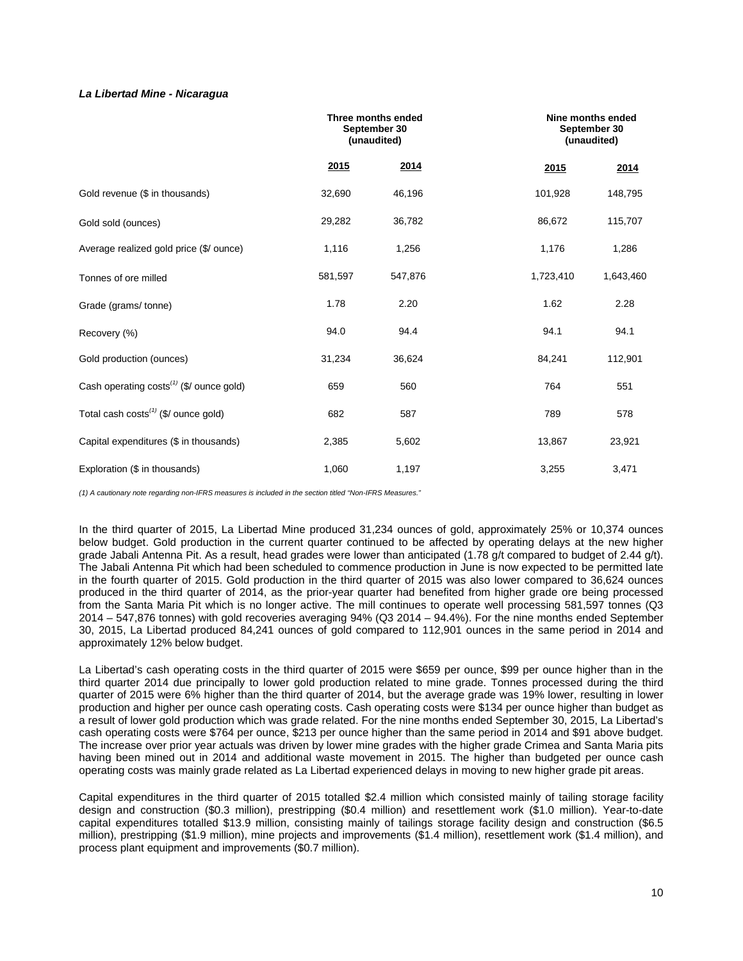## *La Libertad Mine - Nicaragua*

|                                               |         | Three months ended<br>September 30<br>(unaudited) |           | Nine months ended<br>September 30<br>(unaudited) |
|-----------------------------------------------|---------|---------------------------------------------------|-----------|--------------------------------------------------|
|                                               | 2015    | 2014                                              | 2015      | 2014                                             |
| Gold revenue (\$ in thousands)                | 32,690  | 46,196                                            | 101,928   | 148,795                                          |
| Gold sold (ounces)                            | 29,282  | 36,782                                            | 86,672    | 115,707                                          |
| Average realized gold price (\$/ ounce)       | 1,116   | 1,256                                             | 1,176     | 1,286                                            |
| Tonnes of ore milled                          | 581,597 | 547,876                                           | 1,723,410 | 1,643,460                                        |
| Grade (grams/tonne)                           | 1.78    | 2.20                                              | 1.62      | 2.28                                             |
| Recovery (%)                                  | 94.0    | 94.4                                              | 94.1      | 94.1                                             |
| Gold production (ounces)                      | 31,234  | 36,624                                            | 84,241    | 112,901                                          |
| Cash operating $costs^{(1)}$ (\$/ ounce gold) | 659     | 560                                               | 764       | 551                                              |
| Total cash $costs^{(1)}$ (\$/ ounce gold)     | 682     | 587                                               | 789       | 578                                              |
| Capital expenditures (\$ in thousands)        | 2,385   | 5,602                                             | 13,867    | 23,921                                           |
| Exploration (\$ in thousands)                 | 1,060   | 1,197                                             | 3,255     | 3,471                                            |

*(1) A cautionary note regarding non-IFRS measures is included in the section titled "Non-IFRS Measures."* 

In the third quarter of 2015, La Libertad Mine produced 31,234 ounces of gold, approximately 25% or 10,374 ounces below budget. Gold production in the current quarter continued to be affected by operating delays at the new higher grade Jabali Antenna Pit. As a result, head grades were lower than anticipated (1.78 g/t compared to budget of 2.44 g/t). The Jabali Antenna Pit which had been scheduled to commence production in June is now expected to be permitted late in the fourth quarter of 2015. Gold production in the third quarter of 2015 was also lower compared to 36,624 ounces produced in the third quarter of 2014, as the prior-year quarter had benefited from higher grade ore being processed from the Santa Maria Pit which is no longer active. The mill continues to operate well processing 581,597 tonnes (Q3 2014 – 547,876 tonnes) with gold recoveries averaging 94% (Q3 2014 – 94.4%). For the nine months ended September 30, 2015, La Libertad produced 84,241 ounces of gold compared to 112,901 ounces in the same period in 2014 and approximately 12% below budget.

La Libertad's cash operating costs in the third quarter of 2015 were \$659 per ounce, \$99 per ounce higher than in the third quarter 2014 due principally to lower gold production related to mine grade. Tonnes processed during the third quarter of 2015 were 6% higher than the third quarter of 2014, but the average grade was 19% lower, resulting in lower production and higher per ounce cash operating costs. Cash operating costs were \$134 per ounce higher than budget as a result of lower gold production which was grade related. For the nine months ended September 30, 2015, La Libertad's cash operating costs were \$764 per ounce, \$213 per ounce higher than the same period in 2014 and \$91 above budget. The increase over prior year actuals was driven by lower mine grades with the higher grade Crimea and Santa Maria pits having been mined out in 2014 and additional waste movement in 2015. The higher than budgeted per ounce cash operating costs was mainly grade related as La Libertad experienced delays in moving to new higher grade pit areas.

Capital expenditures in the third quarter of 2015 totalled \$2.4 million which consisted mainly of tailing storage facility design and construction (\$0.3 million), prestripping (\$0.4 million) and resettlement work (\$1.0 million). Year-to-date capital expenditures totalled \$13.9 million, consisting mainly of tailings storage facility design and construction (\$6.5 million), prestripping (\$1.9 million), mine projects and improvements (\$1.4 million), resettlement work (\$1.4 million), and process plant equipment and improvements (\$0.7 million).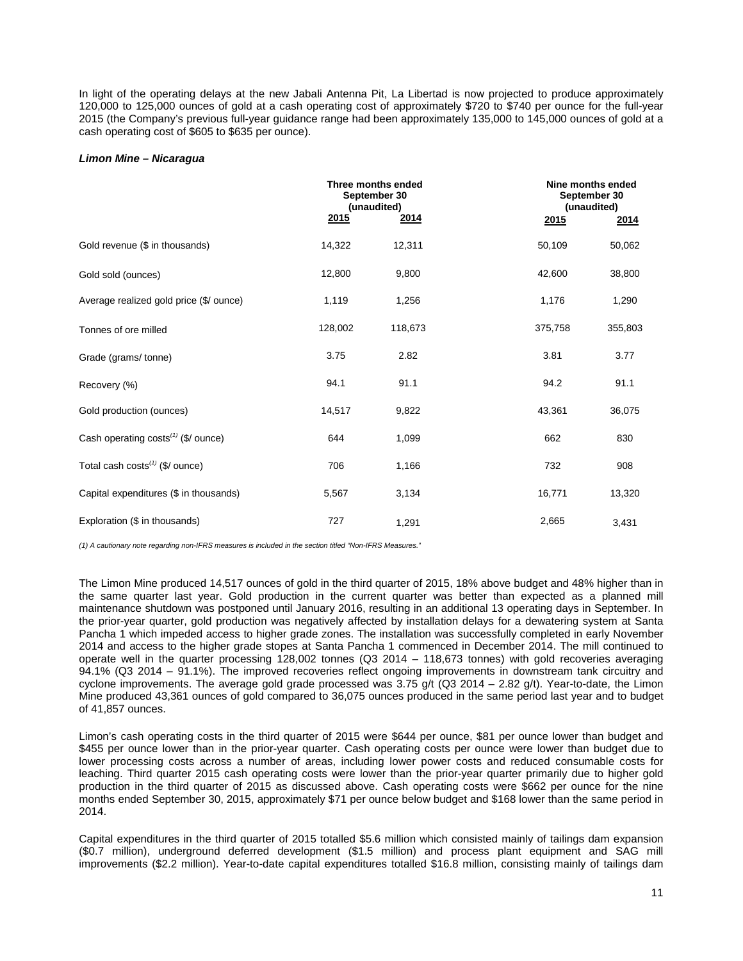In light of the operating delays at the new Jabali Antenna Pit, La Libertad is now projected to produce approximately 120,000 to 125,000 ounces of gold at a cash operating cost of approximately \$720 to \$740 per ounce for the full-year 2015 (the Company's previous full-year guidance range had been approximately 135,000 to 145,000 ounces of gold at a cash operating cost of \$605 to \$635 per ounce).

#### *Limon Mine – Nicaragua*

|                                         |             | Three months ended<br>September 30<br>(unaudited) | Nine months ended<br>September 30<br>(unaudited) |         |
|-----------------------------------------|-------------|---------------------------------------------------|--------------------------------------------------|---------|
|                                         | <u>2015</u> | <u>2014</u>                                       | 2015                                             | 2014    |
| Gold revenue (\$ in thousands)          | 14,322      | 12,311                                            | 50,109                                           | 50,062  |
| Gold sold (ounces)                      | 12,800      | 9,800                                             | 42,600                                           | 38,800  |
| Average realized gold price (\$/ ounce) | 1,119       | 1,256                                             | 1,176                                            | 1,290   |
| Tonnes of ore milled                    | 128,002     | 118,673                                           | 375,758                                          | 355,803 |
| Grade (grams/ tonne)                    | 3.75        | 2.82                                              | 3.81                                             | 3.77    |
| Recovery (%)                            | 94.1        | 91.1                                              | 94.2                                             | 91.1    |
| Gold production (ounces)                | 14,517      | 9,822                                             | 43,361                                           | 36,075  |
| Cash operating costs $(1)$ (\$/ ounce)  | 644         | 1,099                                             | 662                                              | 830     |
| Total cash $costs^{(1)}$ (\$/ ounce)    | 706         | 1,166                                             | 732                                              | 908     |
| Capital expenditures (\$ in thousands)  | 5,567       | 3,134                                             | 16,771                                           | 13,320  |
| Exploration (\$ in thousands)           | 727         | 1,291                                             | 2,665                                            | 3,431   |

*(1) A cautionary note regarding non-IFRS measures is included in the section titled "Non-IFRS Measures."*

The Limon Mine produced 14,517 ounces of gold in the third quarter of 2015, 18% above budget and 48% higher than in the same quarter last year. Gold production in the current quarter was better than expected as a planned mill maintenance shutdown was postponed until January 2016, resulting in an additional 13 operating days in September. In the prior-year quarter, gold production was negatively affected by installation delays for a dewatering system at Santa Pancha 1 which impeded access to higher grade zones. The installation was successfully completed in early November 2014 and access to the higher grade stopes at Santa Pancha 1 commenced in December 2014. The mill continued to operate well in the quarter processing 128,002 tonnes (Q3 2014 – 118,673 tonnes) with gold recoveries averaging 94.1% (Q3 2014 – 91.1%). The improved recoveries reflect ongoing improvements in downstream tank circuitry and cyclone improvements. The average gold grade processed was 3.75 g/t (Q3 2014 – 2.82 g/t). Year-to-date, the Limon Mine produced 43,361 ounces of gold compared to 36,075 ounces produced in the same period last year and to budget of 41,857 ounces.

Limon's cash operating costs in the third quarter of 2015 were \$644 per ounce, \$81 per ounce lower than budget and \$455 per ounce lower than in the prior-year quarter. Cash operating costs per ounce were lower than budget due to lower processing costs across a number of areas, including lower power costs and reduced consumable costs for leaching. Third quarter 2015 cash operating costs were lower than the prior-year quarter primarily due to higher gold production in the third quarter of 2015 as discussed above. Cash operating costs were \$662 per ounce for the nine months ended September 30, 2015, approximately \$71 per ounce below budget and \$168 lower than the same period in 2014.

Capital expenditures in the third quarter of 2015 totalled \$5.6 million which consisted mainly of tailings dam expansion (\$0.7 million), underground deferred development (\$1.5 million) and process plant equipment and SAG mill improvements (\$2.2 million). Year-to-date capital expenditures totalled \$16.8 million, consisting mainly of tailings dam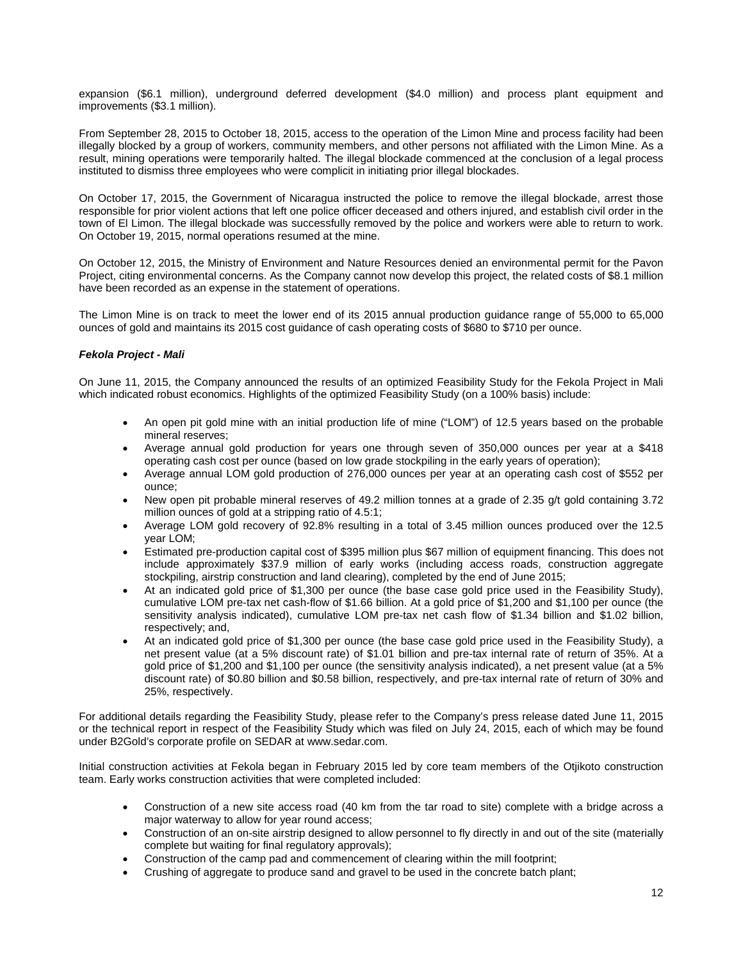expansion (\$6.1 million), underground deferred development (\$4.0 million) and process plant equipment and improvements (\$3.1 million).

From September 28, 2015 to October 18, 2015, access to the operation of the Limon Mine and process facility had been illegally blocked by a group of workers, community members, and other persons not affiliated with the Limon Mine. As a result, mining operations were temporarily halted. The illegal blockade commenced at the conclusion of a legal process instituted to dismiss three employees who were complicit in initiating prior illegal blockades.

On October 17, 2015, the Government of Nicaragua instructed the police to remove the illegal blockade, arrest those responsible for prior violent actions that left one police officer deceased and others injured, and establish civil order in the town of El Limon. The illegal blockade was successfully removed by the police and workers were able to return to work. On October 19, 2015, normal operations resumed at the mine.

On October 12, 2015, the Ministry of Environment and Nature Resources denied an environmental permit for the Pavon Project, citing environmental concerns. As the Company cannot now develop this project, the related costs of \$8.1 million have been recorded as an expense in the statement of operations.

The Limon Mine is on track to meet the lower end of its 2015 annual production guidance range of 55,000 to 65,000 ounces of gold and maintains its 2015 cost guidance of cash operating costs of \$680 to \$710 per ounce.

## *Fekola Project - Mali*

On June 11, 2015, the Company announced the results of an optimized Feasibility Study for the Fekola Project in Mali which indicated robust economics. Highlights of the optimized Feasibility Study (on a 100% basis) include:

- An open pit gold mine with an initial production life of mine ("LOM") of 12.5 years based on the probable mineral reserves;
- Average annual gold production for years one through seven of 350,000 ounces per year at a \$418 operating cash cost per ounce (based on low grade stockpiling in the early years of operation);
- Average annual LOM gold production of 276,000 ounces per year at an operating cash cost of \$552 per ounce;
- New open pit probable mineral reserves of 49.2 million tonnes at a grade of 2.35 g/t gold containing 3.72 million ounces of gold at a stripping ratio of 4.5:1;
- Average LOM gold recovery of 92.8% resulting in a total of 3.45 million ounces produced over the 12.5 year LOM;
- Estimated pre-production capital cost of \$395 million plus \$67 million of equipment financing. This does not include approximately \$37.9 million of early works (including access roads, construction aggregate stockpiling, airstrip construction and land clearing), completed by the end of June 2015;
- At an indicated gold price of \$1,300 per ounce (the base case gold price used in the Feasibility Study), cumulative LOM pre-tax net cash-flow of \$1.66 billion. At a gold price of \$1,200 and \$1,100 per ounce (the sensitivity analysis indicated), cumulative LOM pre-tax net cash flow of \$1.34 billion and \$1.02 billion, respectively; and,
- At an indicated gold price of \$1,300 per ounce (the base case gold price used in the Feasibility Study), a net present value (at a 5% discount rate) of \$1.01 billion and pre-tax internal rate of return of 35%. At a gold price of \$1,200 and \$1,100 per ounce (the sensitivity analysis indicated), a net present value (at a 5% discount rate) of \$0.80 billion and \$0.58 billion, respectively, and pre-tax internal rate of return of 30% and 25%, respectively.

For additional details regarding the Feasibility Study, please refer to the Company's press release dated June 11, 2015 or the technical report in respect of the Feasibility Study which was filed on July 24, 2015, each of which may be found under B2Gold's corporate profile on SEDAR at [www.sedar.com.](http://www.sedar.com/) 

Initial construction activities at Fekola began in February 2015 led by core team members of the Otjikoto construction team. Early works construction activities that were completed included:

- Construction of a new site access road (40 km from the tar road to site) complete with a bridge across a major waterway to allow for year round access;
- Construction of an on-site airstrip designed to allow personnel to fly directly in and out of the site (materially complete but waiting for final regulatory approvals);
- Construction of the camp pad and commencement of clearing within the mill footprint;
- Crushing of aggregate to produce sand and gravel to be used in the concrete batch plant;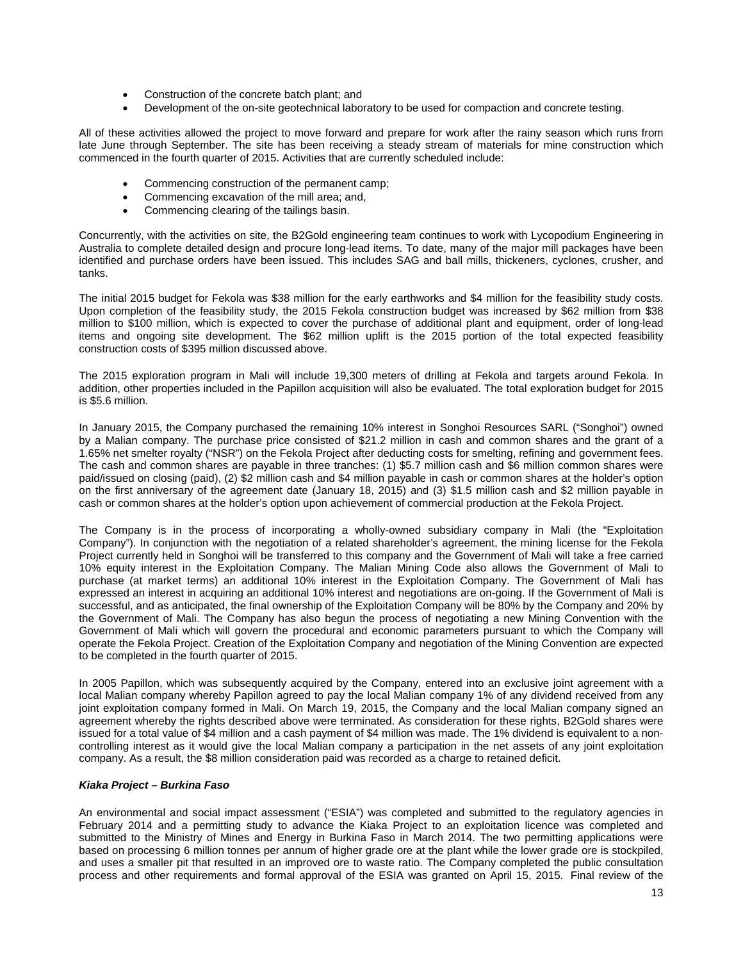- Construction of the concrete batch plant; and
- Development of the on-site geotechnical laboratory to be used for compaction and concrete testing.

All of these activities allowed the project to move forward and prepare for work after the rainy season which runs from late June through September. The site has been receiving a steady stream of materials for mine construction which commenced in the fourth quarter of 2015. Activities that are currently scheduled include:

- Commencing construction of the permanent camp;
- Commencing excavation of the mill area; and,
- Commencing clearing of the tailings basin.

Concurrently, with the activities on site, the B2Gold engineering team continues to work with Lycopodium Engineering in Australia to complete detailed design and procure long-lead items. To date, many of the major mill packages have been identified and purchase orders have been issued. This includes SAG and ball mills, thickeners, cyclones, crusher, and tanks.

The initial 2015 budget for Fekola was \$38 million for the early earthworks and \$4 million for the feasibility study costs. Upon completion of the feasibility study, the 2015 Fekola construction budget was increased by \$62 million from \$38 million to \$100 million, which is expected to cover the purchase of additional plant and equipment, order of long-lead items and ongoing site development. The \$62 million uplift is the 2015 portion of the total expected feasibility construction costs of \$395 million discussed above.

The 2015 exploration program in Mali will include 19,300 meters of drilling at Fekola and targets around Fekola. In addition, other properties included in the Papillon acquisition will also be evaluated. The total exploration budget for 2015 is \$5.6 million.

In January 2015, the Company purchased the remaining 10% interest in Songhoi Resources SARL ("Songhoi") owned by a Malian company. The purchase price consisted of \$21.2 million in cash and common shares and the grant of a 1.65% net smelter royalty ("NSR") on the Fekola Project after deducting costs for smelting, refining and government fees. The cash and common shares are payable in three tranches: (1) \$5.7 million cash and \$6 million common shares were paid/issued on closing (paid), (2) \$2 million cash and \$4 million payable in cash or common shares at the holder's option on the first anniversary of the agreement date (January 18, 2015) and (3) \$1.5 million cash and \$2 million payable in cash or common shares at the holder's option upon achievement of commercial production at the Fekola Project.

The Company is in the process of incorporating a wholly-owned subsidiary company in Mali (the "Exploitation Company"). In conjunction with the negotiation of a related shareholder's agreement, the mining license for the Fekola Project currently held in Songhoi will be transferred to this company and the Government of Mali will take a free carried 10% equity interest in the Exploitation Company. The Malian Mining Code also allows the Government of Mali to purchase (at market terms) an additional 10% interest in the Exploitation Company. The Government of Mali has expressed an interest in acquiring an additional 10% interest and negotiations are on-going. If the Government of Mali is successful, and as anticipated, the final ownership of the Exploitation Company will be 80% by the Company and 20% by the Government of Mali. The Company has also begun the process of negotiating a new Mining Convention with the Government of Mali which will govern the procedural and economic parameters pursuant to which the Company will operate the Fekola Project. Creation of the Exploitation Company and negotiation of the Mining Convention are expected to be completed in the fourth quarter of 2015.

In 2005 Papillon, which was subsequently acquired by the Company, entered into an exclusive joint agreement with a local Malian company whereby Papillon agreed to pay the local Malian company 1% of any dividend received from any joint exploitation company formed in Mali. On March 19, 2015, the Company and the local Malian company signed an agreement whereby the rights described above were terminated. As consideration for these rights, B2Gold shares were issued for a total value of \$4 million and a cash payment of \$4 million was made. The 1% dividend is equivalent to a noncontrolling interest as it would give the local Malian company a participation in the net assets of any joint exploitation company. As a result, the \$8 million consideration paid was recorded as a charge to retained deficit.

#### *Kiaka Project – Burkina Faso*

An environmental and social impact assessment ("ESIA") was completed and submitted to the regulatory agencies in February 2014 and a permitting study to advance the Kiaka Project to an exploitation licence was completed and submitted to the Ministry of Mines and Energy in Burkina Faso in March 2014. The two permitting applications were based on processing 6 million tonnes per annum of higher grade ore at the plant while the lower grade ore is stockpiled, and uses a smaller pit that resulted in an improved ore to waste ratio. The Company completed the public consultation process and other requirements and formal approval of the ESIA was granted on April 15, 2015. Final review of the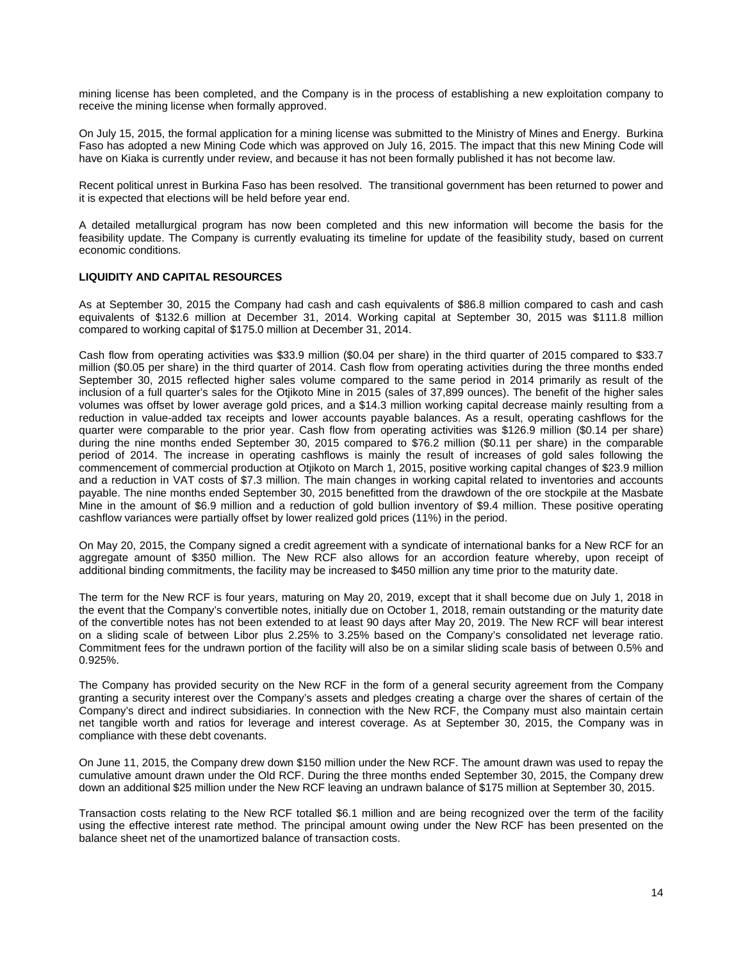mining license has been completed, and the Company is in the process of establishing a new exploitation company to receive the mining license when formally approved.

On July 15, 2015, the formal application for a mining license was submitted to the Ministry of Mines and Energy. Burkina Faso has adopted a new Mining Code which was approved on July 16, 2015. The impact that this new Mining Code will have on Kiaka is currently under review, and because it has not been formally published it has not become law.

Recent political unrest in Burkina Faso has been resolved. The transitional government has been returned to power and it is expected that elections will be held before year end.

A detailed metallurgical program has now been completed and this new information will become the basis for the feasibility update. The Company is currently evaluating its timeline for update of the feasibility study, based on current economic conditions.

## **LIQUIDITY AND CAPITAL RESOURCES**

As at September 30, 2015 the Company had cash and cash equivalents of \$86.8 million compared to cash and cash equivalents of \$132.6 million at December 31, 2014. Working capital at September 30, 2015 was \$111.8 million compared to working capital of \$175.0 million at December 31, 2014.

Cash flow from operating activities was \$33.9 million (\$0.04 per share) in the third quarter of 2015 compared to \$33.7 million (\$0.05 per share) in the third quarter of 2014. Cash flow from operating activities during the three months ended September 30, 2015 reflected higher sales volume compared to the same period in 2014 primarily as result of the inclusion of a full quarter's sales for the Otjikoto Mine in 2015 (sales of 37,899 ounces). The benefit of the higher sales volumes was offset by lower average gold prices, and a \$14.3 million working capital decrease mainly resulting from a reduction in value-added tax receipts and lower accounts payable balances. As a result, operating cashflows for the quarter were comparable to the prior year. Cash flow from operating activities was \$126.9 million (\$0.14 per share) during the nine months ended September 30, 2015 compared to \$76.2 million (\$0.11 per share) in the comparable period of 2014. The increase in operating cashflows is mainly the result of increases of gold sales following the commencement of commercial production at Otjikoto on March 1, 2015, positive working capital changes of \$23.9 million and a reduction in VAT costs of \$7.3 million. The main changes in working capital related to inventories and accounts payable. The nine months ended September 30, 2015 benefitted from the drawdown of the ore stockpile at the Masbate Mine in the amount of \$6.9 million and a reduction of gold bullion inventory of \$9.4 million. These positive operating cashflow variances were partially offset by lower realized gold prices (11%) in the period.

On May 20, 2015, the Company signed a credit agreement with a syndicate of international banks for a New RCF for an aggregate amount of \$350 million. The New RCF also allows for an accordion feature whereby, upon receipt of additional binding commitments, the facility may be increased to \$450 million any time prior to the maturity date.

The term for the New RCF is four years, maturing on May 20, 2019, except that it shall become due on July 1, 2018 in the event that the Company's convertible notes, initially due on October 1, 2018, remain outstanding or the maturity date of the convertible notes has not been extended to at least 90 days after May 20, 2019. The New RCF will bear interest on a sliding scale of between Libor plus 2.25% to 3.25% based on the Company's consolidated net leverage ratio. Commitment fees for the undrawn portion of the facility will also be on a similar sliding scale basis of between 0.5% and 0.925%.

The Company has provided security on the New RCF in the form of a general security agreement from the Company granting a security interest over the Company's assets and pledges creating a charge over the shares of certain of the Company's direct and indirect subsidiaries. In connection with the New RCF, the Company must also maintain certain net tangible worth and ratios for leverage and interest coverage. As at September 30, 2015, the Company was in compliance with these debt covenants.

On June 11, 2015, the Company drew down \$150 million under the New RCF. The amount drawn was used to repay the cumulative amount drawn under the Old RCF. During the three months ended September 30, 2015, the Company drew down an additional \$25 million under the New RCF leaving an undrawn balance of \$175 million at September 30, 2015.

Transaction costs relating to the New RCF totalled \$6.1 million and are being recognized over the term of the facility using the effective interest rate method. The principal amount owing under the New RCF has been presented on the balance sheet net of the unamortized balance of transaction costs.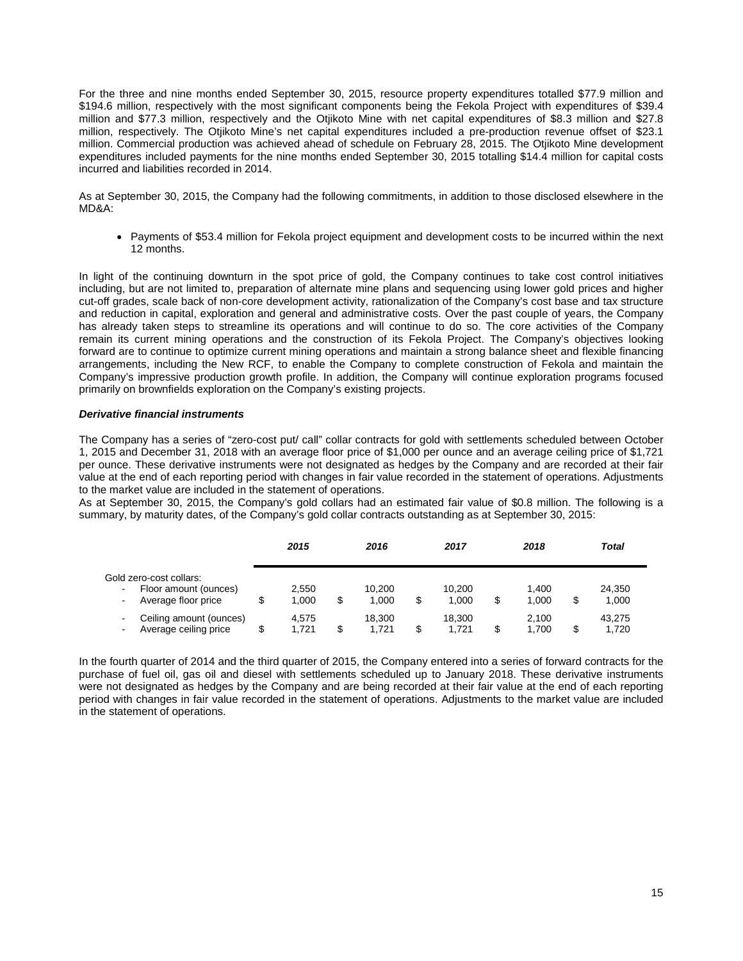For the three and nine months ended September 30, 2015, resource property expenditures totalled \$77.9 million and \$194.6 million, respectively with the most significant components being the Fekola Project with expenditures of \$39.4 million and \$77.3 million, respectively and the Otjikoto Mine with net capital expenditures of \$8.3 million and \$27.8 million, respectively. The Otjikoto Mine's net capital expenditures included a pre-production revenue offset of \$23.1 million. Commercial production was achieved ahead of schedule on February 28, 2015. The Otjikoto Mine development expenditures included payments for the nine months ended September 30, 2015 totalling \$14.4 million for capital costs incurred and liabilities recorded in 2014.

As at September 30, 2015, the Company had the following commitments, in addition to those disclosed elsewhere in the MD&A:

• Payments of \$53.4 million for Fekola project equipment and development costs to be incurred within the next 12 months.

In light of the continuing downturn in the spot price of gold, the Company continues to take cost control initiatives including, but are not limited to, preparation of alternate mine plans and sequencing using lower gold prices and higher cut-off grades, scale back of non-core development activity, rationalization of the Company's cost base and tax structure and reduction in capital, exploration and general and administrative costs. Over the past couple of years, the Company has already taken steps to streamline its operations and will continue to do so. The core activities of the Company remain its current mining operations and the construction of its Fekola Project. The Company's objectives looking forward are to continue to optimize current mining operations and maintain a strong balance sheet and flexible financing arrangements, including the New RCF, to enable the Company to complete construction of Fekola and maintain the Company's impressive production growth profile. In addition, the Company will continue exploration programs focused primarily on brownfields exploration on the Company's existing projects.

## *Derivative financial instruments*

The Company has a series of "zero-cost put/ call" collar contracts for gold with settlements scheduled between October 1, 2015 and December 31, 2018 with an average floor price of \$1,000 per ounce and an average ceiling price of \$1,721 per ounce. These derivative instruments were not designated as hedges by the Company and are recorded at their fair value at the end of each reporting period with changes in fair value recorded in the statement of operations. Adjustments to the market value are included in the statement of operations.

As at September 30, 2015, the Company's gold collars had an estimated fair value of \$0.8 million. The following is a summary, by maturity dates, of the Company's gold collar contracts outstanding as at September 30, 2015:

|                                                                                                             |   | 2015           | 2016                  |   | 2017            | 2018                 | <b>Total</b>    |  |
|-------------------------------------------------------------------------------------------------------------|---|----------------|-----------------------|---|-----------------|----------------------|-----------------|--|
| Gold zero-cost collars:<br>Floor amount (ounces)<br>$\blacksquare$<br>Average floor price<br>$\blacksquare$ |   | 2.550<br>1.000 | \$<br>10.200<br>1.000 |   | 10.200<br>1.000 | \$<br>1.400<br>1.000 | 24.350<br>1,000 |  |
| Ceiling amount (ounces)<br>۰<br>Average ceiling price<br>$\blacksquare$                                     | S | 4.575<br>1.721 | \$<br>18.300<br>1.721 | S | 18.300<br>1.721 | \$<br>2.100<br>1.700 | 43.275<br>1,720 |  |

In the fourth quarter of 2014 and the third quarter of 2015, the Company entered into a series of forward contracts for the purchase of fuel oil, gas oil and diesel with settlements scheduled up to January 2018. These derivative instruments were not designated as hedges by the Company and are being recorded at their fair value at the end of each reporting period with changes in fair value recorded in the statement of operations. Adjustments to the market value are included in the statement of operations.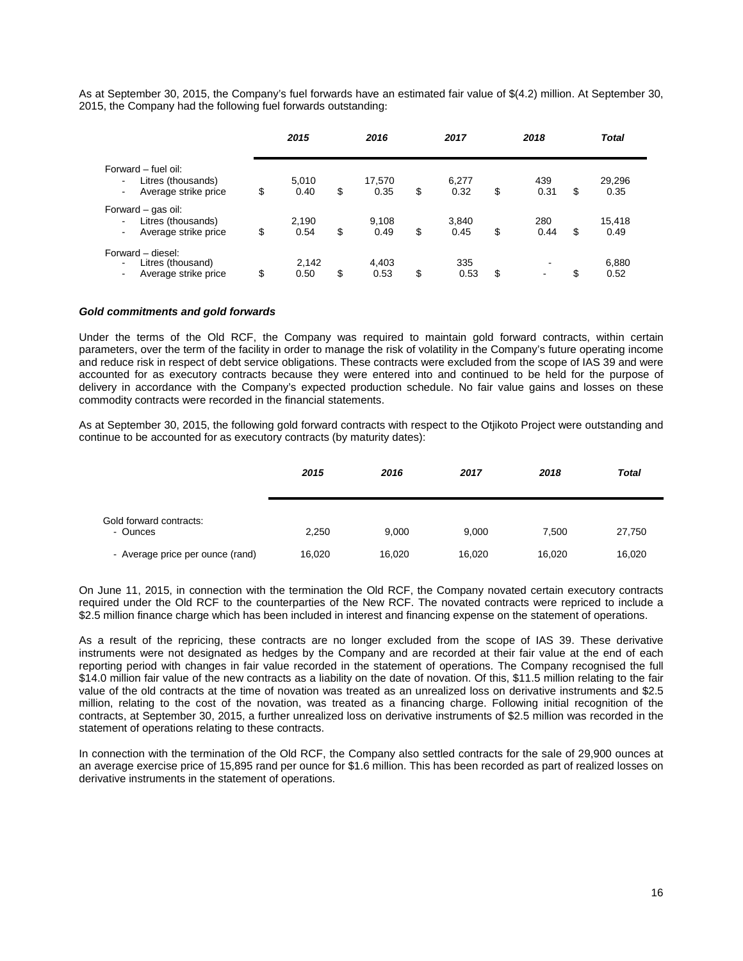As at September 30, 2015, the Company's fuel forwards have an estimated fair value of \$(4.2) million. At September 30, 2015, the Company had the following fuel forwards outstanding:

|                                                                   | 2015                | 2016                 | 2017                |    | 2018        |    | <b>Total</b>   |
|-------------------------------------------------------------------|---------------------|----------------------|---------------------|----|-------------|----|----------------|
| Forward - fuel oil:<br>Litres (thousands)<br>Average strike price | \$<br>5,010<br>0.40 | \$<br>17,570<br>0.35 | \$<br>6,277<br>0.32 | \$ | 439<br>0.31 | \$ | 29,296<br>0.35 |
| Forward – gas oil:<br>Litres (thousands)<br>Average strike price  | \$<br>2,190<br>0.54 | \$<br>9,108<br>0.49  | \$<br>3,840<br>0.45 | \$ | 280<br>0.44 | S  | 15,418<br>0.49 |
| Forward - diesel:<br>Litres (thousand)<br>Average strike price    | \$<br>2.142<br>0.50 | \$<br>4.403<br>0.53  | \$<br>335<br>0.53   | S  | ۰           | \$ | 6,880<br>0.52  |

#### *Gold commitments and gold forwards*

Under the terms of the Old RCF, the Company was required to maintain gold forward contracts, within certain parameters, over the term of the facility in order to manage the risk of volatility in the Company's future operating income and reduce risk in respect of debt service obligations. These contracts were excluded from the scope of IAS 39 and were accounted for as executory contracts because they were entered into and continued to be held for the purpose of delivery in accordance with the Company's expected production schedule. No fair value gains and losses on these commodity contracts were recorded in the financial statements.

As at September 30, 2015, the following gold forward contracts with respect to the Otjikoto Project were outstanding and continue to be accounted for as executory contracts (by maturity dates):

|                                     | 2015   | 2016   | 2017   | 2018   | <b>Total</b> |
|-------------------------------------|--------|--------|--------|--------|--------------|
| Gold forward contracts:<br>- Ounces | 2,250  | 9.000  | 9,000  | 7.500  | 27,750       |
| - Average price per ounce (rand)    | 16,020 | 16,020 | 16,020 | 16,020 | 16,020       |

On June 11, 2015, in connection with the termination the Old RCF, the Company novated certain executory contracts required under the Old RCF to the counterparties of the New RCF. The novated contracts were repriced to include a \$2.5 million finance charge which has been included in interest and financing expense on the statement of operations.

As a result of the repricing, these contracts are no longer excluded from the scope of IAS 39. These derivative instruments were not designated as hedges by the Company and are recorded at their fair value at the end of each reporting period with changes in fair value recorded in the statement of operations. The Company recognised the full \$14.0 million fair value of the new contracts as a liability on the date of novation. Of this, \$11.5 million relating to the fair value of the old contracts at the time of novation was treated as an unrealized loss on derivative instruments and \$2.5 million, relating to the cost of the novation, was treated as a financing charge. Following initial recognition of the contracts, at September 30, 2015, a further unrealized loss on derivative instruments of \$2.5 million was recorded in the statement of operations relating to these contracts.

In connection with the termination of the Old RCF, the Company also settled contracts for the sale of 29,900 ounces at an average exercise price of 15,895 rand per ounce for \$1.6 million. This has been recorded as part of realized losses on derivative instruments in the statement of operations.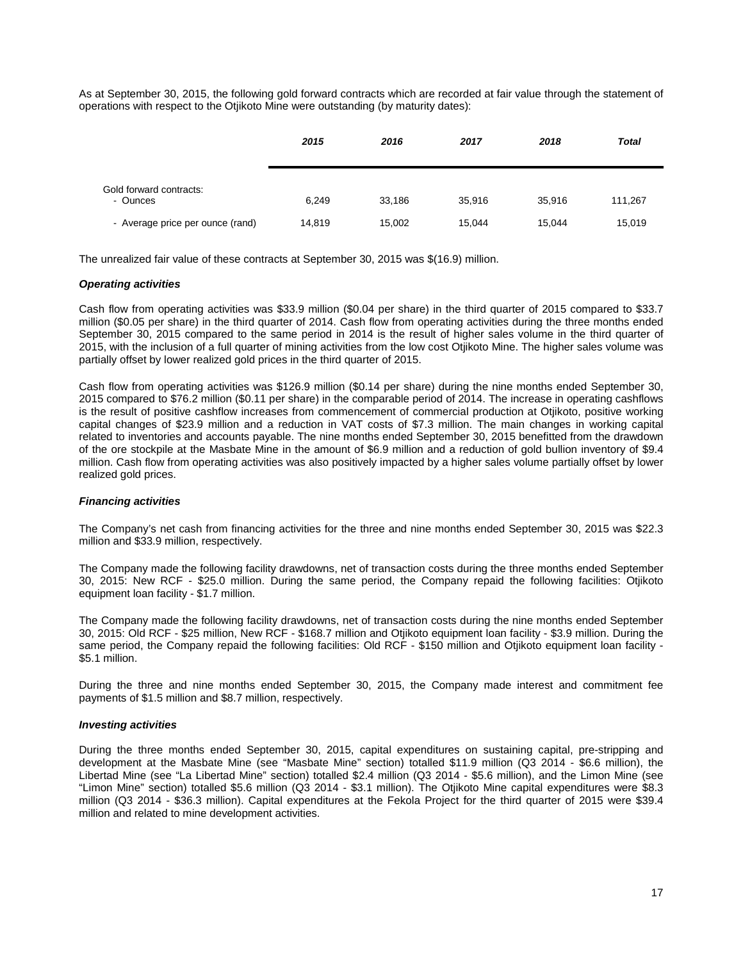As at September 30, 2015, the following gold forward contracts which are recorded at fair value through the statement of operations with respect to the Otjikoto Mine were outstanding (by maturity dates):

|                                     | 2015   | 2016   | 2017   | 2018   | <b>Total</b> |
|-------------------------------------|--------|--------|--------|--------|--------------|
| Gold forward contracts:<br>- Ounces | 6.249  | 33,186 | 35,916 | 35,916 | 111,267      |
| - Average price per ounce (rand)    | 14,819 | 15,002 | 15,044 | 15.044 | 15,019       |

The unrealized fair value of these contracts at September 30, 2015 was \$(16.9) million.

#### *Operating activities*

Cash flow from operating activities was \$33.9 million (\$0.04 per share) in the third quarter of 2015 compared to \$33.7 million (\$0.05 per share) in the third quarter of 2014. Cash flow from operating activities during the three months ended September 30, 2015 compared to the same period in 2014 is the result of higher sales volume in the third quarter of 2015, with the inclusion of a full quarter of mining activities from the low cost Otjikoto Mine. The higher sales volume was partially offset by lower realized gold prices in the third quarter of 2015.

Cash flow from operating activities was \$126.9 million (\$0.14 per share) during the nine months ended September 30, 2015 compared to \$76.2 million (\$0.11 per share) in the comparable period of 2014. The increase in operating cashflows is the result of positive cashflow increases from commencement of commercial production at Otjikoto, positive working capital changes of \$23.9 million and a reduction in VAT costs of \$7.3 million. The main changes in working capital related to inventories and accounts payable. The nine months ended September 30, 2015 benefitted from the drawdown of the ore stockpile at the Masbate Mine in the amount of \$6.9 million and a reduction of gold bullion inventory of \$9.4 million. Cash flow from operating activities was also positively impacted by a higher sales volume partially offset by lower realized gold prices.

## *Financing activities*

The Company's net cash from financing activities for the three and nine months ended September 30, 2015 was \$22.3 million and \$33.9 million, respectively.

The Company made the following facility drawdowns, net of transaction costs during the three months ended September 30, 2015: New RCF - \$25.0 million. During the same period, the Company repaid the following facilities: Otjikoto equipment loan facility - \$1.7 million.

The Company made the following facility drawdowns, net of transaction costs during the nine months ended September 30, 2015: Old RCF - \$25 million, New RCF - \$168.7 million and Otjikoto equipment loan facility - \$3.9 million. During the same period, the Company repaid the following facilities: Old RCF - \$150 million and Otjikoto equipment loan facility - \$5.1 million.

During the three and nine months ended September 30, 2015, the Company made interest and commitment fee payments of \$1.5 million and \$8.7 million, respectively.

#### *Investing activities*

During the three months ended September 30, 2015, capital expenditures on sustaining capital, pre-stripping and development at the Masbate Mine (see "Masbate Mine" section) totalled \$11.9 million (Q3 2014 - \$6.6 million), the Libertad Mine (see "La Libertad Mine" section) totalled \$2.4 million (Q3 2014 - \$5.6 million), and the Limon Mine (see "Limon Mine" section) totalled \$5.6 million (Q3 2014 - \$3.1 million). The Otjikoto Mine capital expenditures were \$8.3 million (Q3 2014 - \$36.3 million). Capital expenditures at the Fekola Project for the third quarter of 2015 were \$39.4 million and related to mine development activities.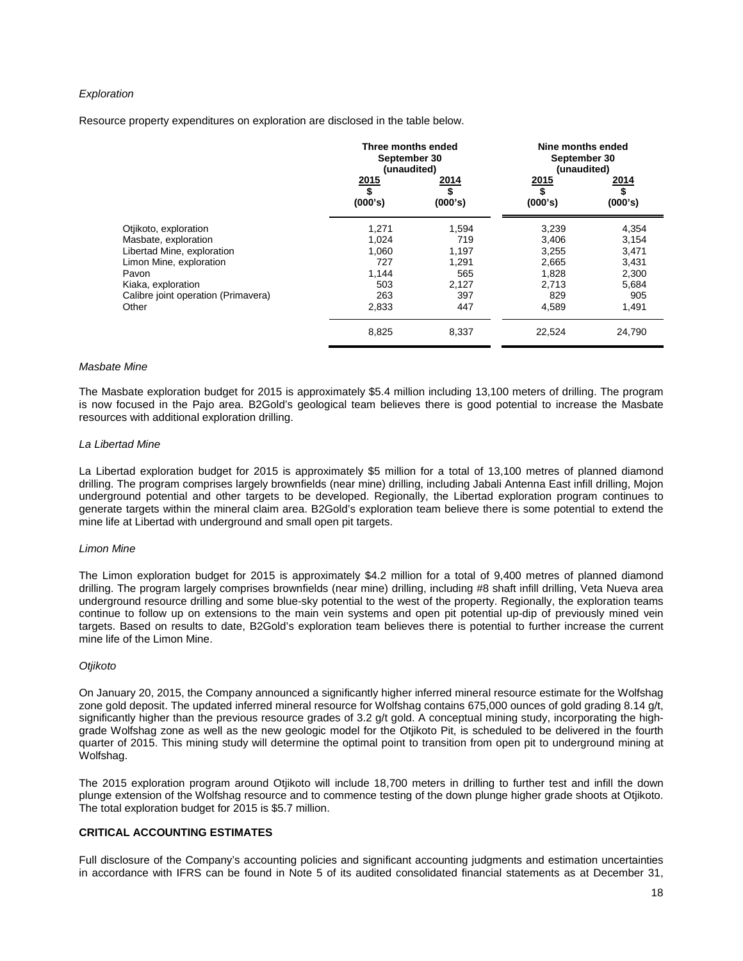#### *Exploration*

Resource property expenditures on exploration are disclosed in the table below.

|                                     | Three months ended<br>September 30<br>(unaudited) |                       | Nine months ended<br>September 30<br>(unaudited) |                              |
|-------------------------------------|---------------------------------------------------|-----------------------|--------------------------------------------------|------------------------------|
|                                     | 2015<br>S,<br>(000's)                             | 2014<br>\$<br>(000's) | 2015<br>\$<br>(000's)                            | <u>2014</u><br>\$<br>(000's) |
| Otjikoto, exploration               | 1,271                                             | 1,594                 | 3,239                                            | 4,354                        |
| Masbate, exploration                | 1,024                                             | 719                   | 3,406                                            | 3,154                        |
| Libertad Mine, exploration          | 1.060                                             | 1,197                 | 3,255                                            | 3,471                        |
| Limon Mine, exploration             | 727                                               | 1,291                 | 2,665                                            | 3,431                        |
| Pavon                               | 1,144                                             | 565                   | 1,828                                            | 2,300                        |
| Kiaka, exploration                  | 503                                               | 2,127                 | 2,713                                            | 5,684                        |
| Calibre joint operation (Primavera) | 263                                               | 397                   | 829                                              | 905                          |
| Other                               | 2,833                                             | 447                   | 4,589                                            | 1,491                        |
|                                     | 8,825                                             | 8,337                 | 22,524                                           | 24,790                       |

#### *Masbate Mine*

The Masbate exploration budget for 2015 is approximately \$5.4 million including 13,100 meters of drilling. The program is now focused in the Pajo area. B2Gold's geological team believes there is good potential to increase the Masbate resources with additional exploration drilling.

#### *La Libertad Mine*

La Libertad exploration budget for 2015 is approximately \$5 million for a total of 13,100 metres of planned diamond drilling. The program comprises largely brownfields (near mine) drilling, including Jabali Antenna East infill drilling, Mojon underground potential and other targets to be developed. Regionally, the Libertad exploration program continues to generate targets within the mineral claim area. B2Gold's exploration team believe there is some potential to extend the mine life at Libertad with underground and small open pit targets.

#### *Limon Mine*

The Limon exploration budget for 2015 is approximately \$4.2 million for a total of 9,400 metres of planned diamond drilling. The program largely comprises brownfields (near mine) drilling, including #8 shaft infill drilling, Veta Nueva area underground resource drilling and some blue-sky potential to the west of the property. Regionally, the exploration teams continue to follow up on extensions to the main vein systems and open pit potential up-dip of previously mined vein targets. Based on results to date, B2Gold's exploration team believes there is potential to further increase the current mine life of the Limon Mine.

#### *Otjikoto*

On January 20, 2015, the Company announced a significantly higher inferred mineral resource estimate for the Wolfshag zone gold deposit. The updated inferred mineral resource for Wolfshag contains 675,000 ounces of gold grading 8.14 g/t, significantly higher than the previous resource grades of 3.2 g/t gold. A conceptual mining study, incorporating the highgrade Wolfshag zone as well as the new geologic model for the Otjikoto Pit, is scheduled to be delivered in the fourth quarter of 2015. This mining study will determine the optimal point to transition from open pit to underground mining at Wolfshag.

The 2015 exploration program around Otjikoto will include 18,700 meters in drilling to further test and infill the down plunge extension of the Wolfshag resource and to commence testing of the down plunge higher grade shoots at Otjikoto. The total exploration budget for 2015 is \$5.7 million.

#### **CRITICAL ACCOUNTING ESTIMATES**

Full disclosure of the Company's accounting policies and significant accounting judgments and estimation uncertainties in accordance with IFRS can be found in Note 5 of its audited consolidated financial statements as at December 31,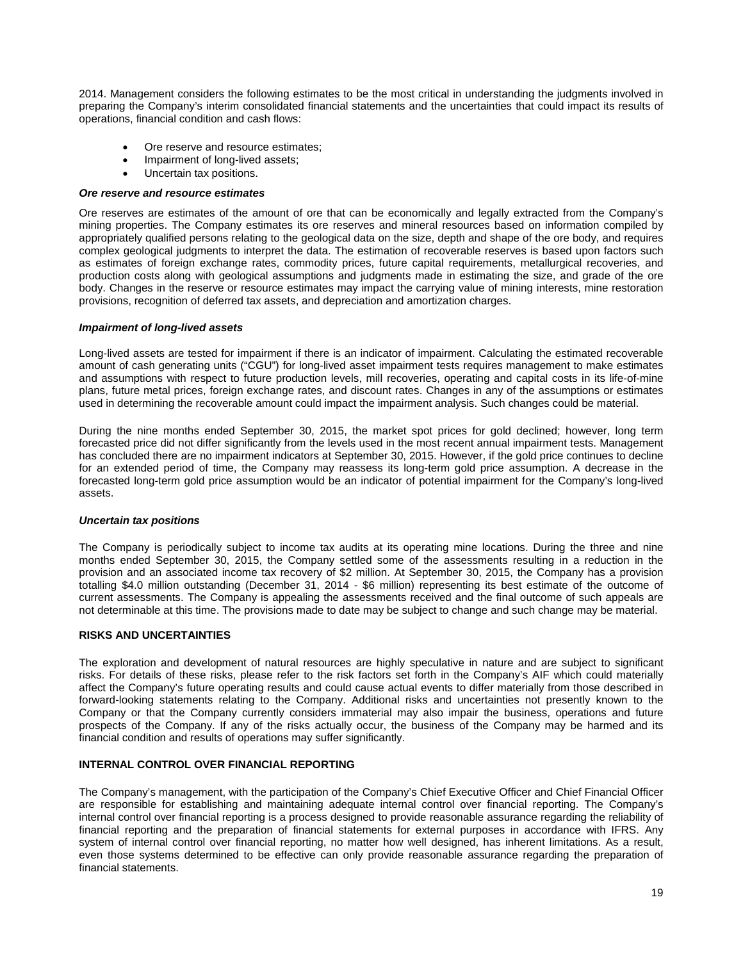2014. Management considers the following estimates to be the most critical in understanding the judgments involved in preparing the Company's interim consolidated financial statements and the uncertainties that could impact its results of operations, financial condition and cash flows:

- Ore reserve and resource estimates;
- Impairment of long-lived assets;
- Uncertain tax positions.

# *Ore reserve and resource estimates*

Ore reserves are estimates of the amount of ore that can be economically and legally extracted from the Company's mining properties. The Company estimates its ore reserves and mineral resources based on information compiled by appropriately qualified persons relating to the geological data on the size, depth and shape of the ore body, and requires complex geological judgments to interpret the data. The estimation of recoverable reserves is based upon factors such as estimates of foreign exchange rates, commodity prices, future capital requirements, metallurgical recoveries, and production costs along with geological assumptions and judgments made in estimating the size, and grade of the ore body. Changes in the reserve or resource estimates may impact the carrying value of mining interests, mine restoration provisions, recognition of deferred tax assets, and depreciation and amortization charges.

## *Impairment of long-lived assets*

Long-lived assets are tested for impairment if there is an indicator of impairment. Calculating the estimated recoverable amount of cash generating units ("CGU") for long-lived asset impairment tests requires management to make estimates and assumptions with respect to future production levels, mill recoveries, operating and capital costs in its life-of-mine plans, future metal prices, foreign exchange rates, and discount rates. Changes in any of the assumptions or estimates used in determining the recoverable amount could impact the impairment analysis. Such changes could be material.

During the nine months ended September 30, 2015, the market spot prices for gold declined; however, long term forecasted price did not differ significantly from the levels used in the most recent annual impairment tests. Management has concluded there are no impairment indicators at September 30, 2015. However, if the gold price continues to decline for an extended period of time, the Company may reassess its long-term gold price assumption. A decrease in the forecasted long-term gold price assumption would be an indicator of potential impairment for the Company's long-lived assets.

## *Uncertain tax positions*

The Company is periodically subject to income tax audits at its operating mine locations. During the three and nine months ended September 30, 2015, the Company settled some of the assessments resulting in a reduction in the provision and an associated income tax recovery of \$2 million. At September 30, 2015, the Company has a provision totalling \$4.0 million outstanding (December 31, 2014 - \$6 million) representing its best estimate of the outcome of current assessments. The Company is appealing the assessments received and the final outcome of such appeals are not determinable at this time. The provisions made to date may be subject to change and such change may be material.

## **RISKS AND UNCERTAINTIES**

The exploration and development of natural resources are highly speculative in nature and are subject to significant risks. For details of these risks, please refer to the risk factors set forth in the Company's AIF which could materially affect the Company's future operating results and could cause actual events to differ materially from those described in forward-looking statements relating to the Company. Additional risks and uncertainties not presently known to the Company or that the Company currently considers immaterial may also impair the business, operations and future prospects of the Company. If any of the risks actually occur, the business of the Company may be harmed and its financial condition and results of operations may suffer significantly.

## **INTERNAL CONTROL OVER FINANCIAL REPORTING**

The Company's management, with the participation of the Company's Chief Executive Officer and Chief Financial Officer are responsible for establishing and maintaining adequate internal control over financial reporting. The Company's internal control over financial reporting is a process designed to provide reasonable assurance regarding the reliability of financial reporting and the preparation of financial statements for external purposes in accordance with IFRS. Any system of internal control over financial reporting, no matter how well designed, has inherent limitations. As a result, even those systems determined to be effective can only provide reasonable assurance regarding the preparation of financial statements.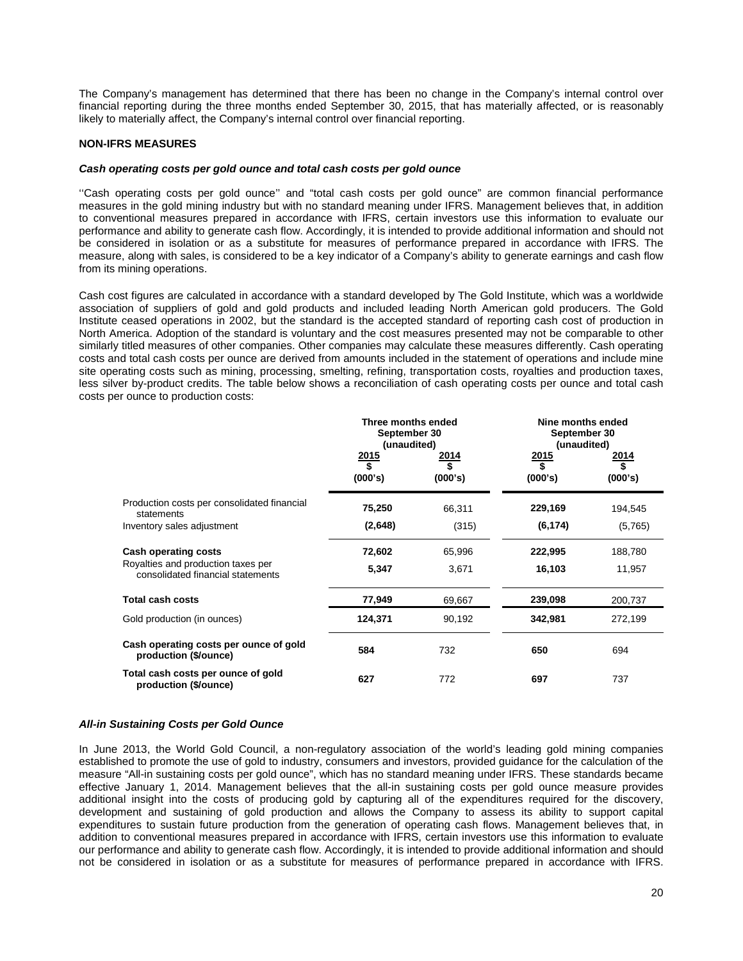The Company's management has determined that there has been no change in the Company's internal control over financial reporting during the three months ended September 30, 2015, that has materially affected, or is reasonably likely to materially affect, the Company's internal control over financial reporting.

# **NON-IFRS MEASURES**

#### *Cash operating costs per gold ounce and total cash costs per gold ounce*

''Cash operating costs per gold ounce'' and "total cash costs per gold ounce" are common financial performance measures in the gold mining industry but with no standard meaning under IFRS. Management believes that, in addition to conventional measures prepared in accordance with IFRS, certain investors use this information to evaluate our performance and ability to generate cash flow. Accordingly, it is intended to provide additional information and should not be considered in isolation or as a substitute for measures of performance prepared in accordance with IFRS. The measure, along with sales, is considered to be a key indicator of a Company's ability to generate earnings and cash flow from its mining operations.

Cash cost figures are calculated in accordance with a standard developed by The Gold Institute, which was a worldwide association of suppliers of gold and gold products and included leading North American gold producers. The Gold Institute ceased operations in 2002, but the standard is the accepted standard of reporting cash cost of production in North America. Adoption of the standard is voluntary and the cost measures presented may not be comparable to other similarly titled measures of other companies. Other companies may calculate these measures differently. Cash operating costs and total cash costs per ounce are derived from amounts included in the statement of operations and include mine site operating costs such as mining, processing, smelting, refining, transportation costs, royalties and production taxes, less silver by-product credits. The table below shows a reconciliation of cash operating costs per ounce and total cash costs per ounce to production costs:

|                                                                         | Three months ended<br>September 30<br>(unaudited)  |                        | Nine months ended<br>September 30<br>(unaudited)   |                               |
|-------------------------------------------------------------------------|----------------------------------------------------|------------------------|----------------------------------------------------|-------------------------------|
|                                                                         | <u> 2015</u><br>$\overline{\mathbf{S}}$<br>(000's) | 2014<br>\$.<br>(000's) | <u> 2015</u><br>$\overline{\mathbf{r}}$<br>(000's) | <u> 2014</u><br>\$<br>(000's) |
| Production costs per consolidated financial<br>statements               | 75,250                                             | 66,311                 | 229,169                                            | 194,545                       |
| Inventory sales adjustment                                              | (2,648)                                            | (315)                  | (6, 174)                                           | (5,765)                       |
| <b>Cash operating costs</b>                                             | 72,602                                             | 65,996                 | 222,995                                            | 188,780                       |
| Royalties and production taxes per<br>consolidated financial statements | 5,347                                              | 3,671                  | 16,103                                             | 11,957                        |
| Total cash costs                                                        | 77,949                                             | 69,667                 | 239,098                                            | 200,737                       |
| Gold production (in ounces)                                             | 124,371                                            | 90,192                 | 342,981                                            | 272,199                       |
| Cash operating costs per ounce of gold<br>production (\$/ounce)         | 584                                                | 732                    | 650                                                | 694                           |
| Total cash costs per ounce of gold<br>production (\$/ounce)             | 627                                                | 772                    | 697                                                | 737                           |

## *All-in Sustaining Costs per Gold Ounce*

In June 2013, the World Gold Council, a non-regulatory association of the world's leading gold mining companies established to promote the use of gold to industry, consumers and investors, provided guidance for the calculation of the measure "All-in sustaining costs per gold ounce", which has no standard meaning under IFRS. These standards became effective January 1, 2014. Management believes that the all-in sustaining costs per gold ounce measure provides additional insight into the costs of producing gold by capturing all of the expenditures required for the discovery, development and sustaining of gold production and allows the Company to assess its ability to support capital expenditures to sustain future production from the generation of operating cash flows. Management believes that, in addition to conventional measures prepared in accordance with IFRS, certain investors use this information to evaluate our performance and ability to generate cash flow. Accordingly, it is intended to provide additional information and should not be considered in isolation or as a substitute for measures of performance prepared in accordance with IFRS.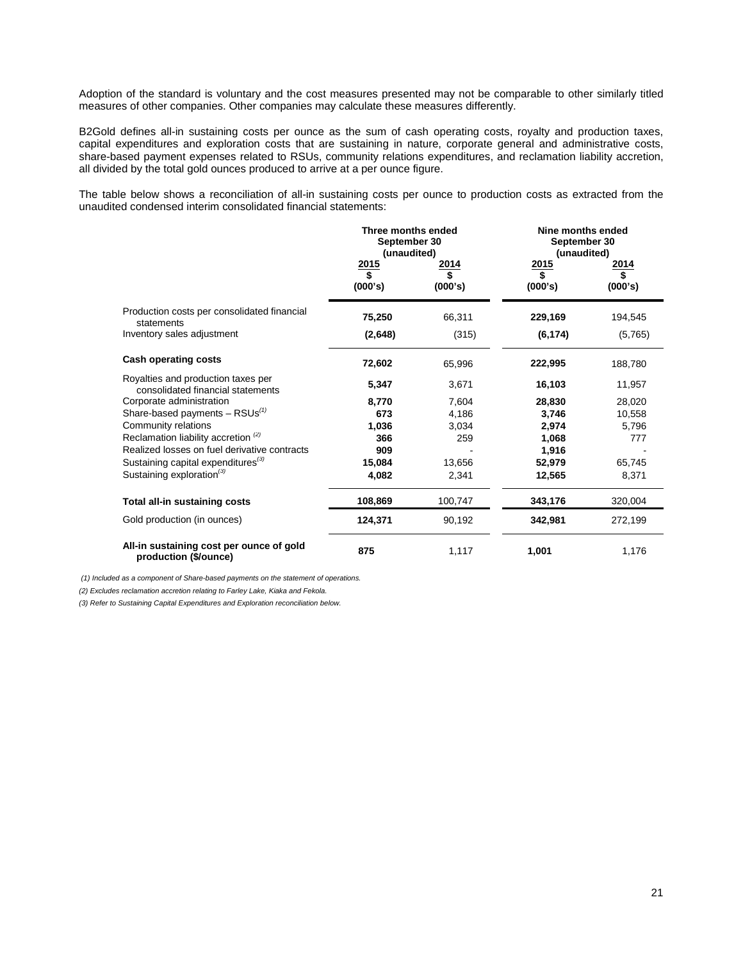Adoption of the standard is voluntary and the cost measures presented may not be comparable to other similarly titled measures of other companies. Other companies may calculate these measures differently.

B2Gold defines all-in sustaining costs per ounce as the sum of cash operating costs, royalty and production taxes, capital expenditures and exploration costs that are sustaining in nature, corporate general and administrative costs, share-based payment expenses related to RSUs, community relations expenditures, and reclamation liability accretion, all divided by the total gold ounces produced to arrive at a per ounce figure.

The table below shows a reconciliation of all-in sustaining costs per ounce to production costs as extracted from the unaudited condensed interim consolidated financial statements:

|                                                                         | Three months ended<br>September 30<br>(unaudited) |               | Nine months ended<br>September 30<br>(unaudited) |            |
|-------------------------------------------------------------------------|---------------------------------------------------|---------------|--------------------------------------------------|------------|
|                                                                         | 2015<br>\$                                        | 2014          | 2015<br>\$                                       | 2014<br>\$ |
|                                                                         | (000's)                                           | \$<br>(000's) | (000's)                                          | (000's)    |
| Production costs per consolidated financial<br>statements               | 75,250                                            | 66,311        | 229,169                                          | 194,545    |
| Inventory sales adjustment                                              | (2,648)                                           | (315)         | (6, 174)                                         | (5,765)    |
| <b>Cash operating costs</b>                                             | 72,602                                            | 65,996        | 222,995                                          | 188,780    |
| Royalties and production taxes per<br>consolidated financial statements | 5,347                                             | 3,671         | 16,103                                           | 11,957     |
| Corporate administration                                                | 8,770                                             | 7,604         | 28,830                                           | 28,020     |
| Share-based payments $-$ RSUs <sup>(1)</sup>                            | 673                                               | 4,186         | 3,746                                            | 10,558     |
| Community relations                                                     | 1,036                                             | 3,034         | 2,974                                            | 5,796      |
| Reclamation liability accretion <sup>(2)</sup>                          | 366                                               | 259           | 1,068                                            | 777        |
| Realized losses on fuel derivative contracts                            | 909                                               |               | 1,916                                            |            |
| Sustaining capital expenditures <sup>(3)</sup>                          | 15,084                                            | 13,656        | 52,979                                           | 65,745     |
| Sustaining exploration <sup>(3)</sup>                                   | 4,082                                             | 2,341         | 12,565                                           | 8,371      |
| <b>Total all-in sustaining costs</b>                                    | 108,869                                           | 100,747       | 343,176                                          | 320,004    |
| Gold production (in ounces)                                             | 124,371                                           | 90,192        | 342,981                                          | 272,199    |
| All-in sustaining cost per ounce of gold<br>production (\$/ounce)       | 875                                               | 1,117         | 1,001                                            | 1,176      |

*(1) Included as a component of Share-based payments on the statement of operations.* 

*(2) Excludes reclamation accretion relating to Farley Lake, Kiaka and Fekola.*

*(3) Refer to Sustaining Capital Expenditures and Exploration reconciliation below.*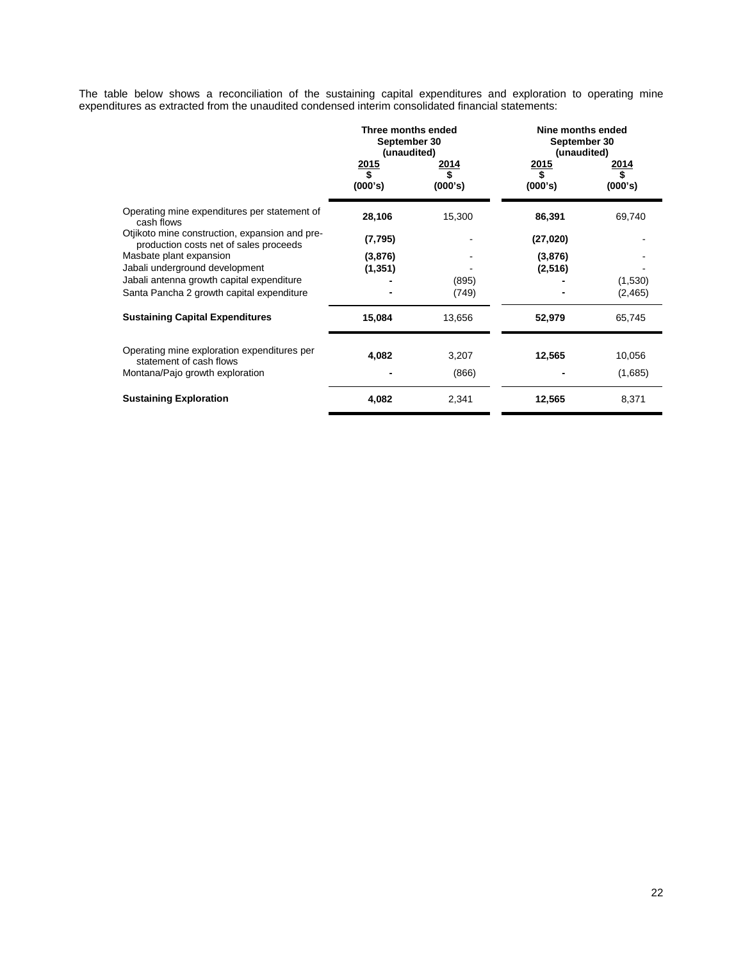The table below shows a reconciliation of the sustaining capital expenditures and exploration to operating mine expenditures as extracted from the unaudited condensed interim consolidated financial statements:

|                                                                                          | Three months ended<br>September 30<br>(unaudited)<br><u> 2015</u><br>\$<br>(000's) | 2014<br>(000's) | Nine months ended<br>September 30<br>(unaudited)<br>2015<br>2014<br>\$<br>(000's)<br>(000's) |                     |  |
|------------------------------------------------------------------------------------------|------------------------------------------------------------------------------------|-----------------|----------------------------------------------------------------------------------------------|---------------------|--|
| Operating mine expenditures per statement of<br>cash flows                               | 28,106                                                                             | 15,300          | 86,391                                                                                       | 69,740              |  |
| Otjikoto mine construction, expansion and pre-<br>production costs net of sales proceeds | (7, 795)                                                                           |                 | (27, 020)                                                                                    |                     |  |
| Masbate plant expansion<br>Jabali underground development                                | (3,876)<br>(1, 351)                                                                |                 | (3,876)<br>(2, 516)                                                                          |                     |  |
| Jabali antenna growth capital expenditure<br>Santa Pancha 2 growth capital expenditure   |                                                                                    | (895)<br>(749)  |                                                                                              | (1,530)<br>(2, 465) |  |
| <b>Sustaining Capital Expenditures</b>                                                   | 15,084                                                                             | 13,656          | 52,979                                                                                       | 65,745              |  |
| Operating mine exploration expenditures per<br>statement of cash flows                   | 4,082                                                                              | 3,207           | 12,565                                                                                       | 10,056              |  |
| Montana/Pajo growth exploration                                                          |                                                                                    | (866)           |                                                                                              | (1,685)             |  |
| <b>Sustaining Exploration</b>                                                            | 4,082                                                                              | 2,341           | 12,565                                                                                       | 8,371               |  |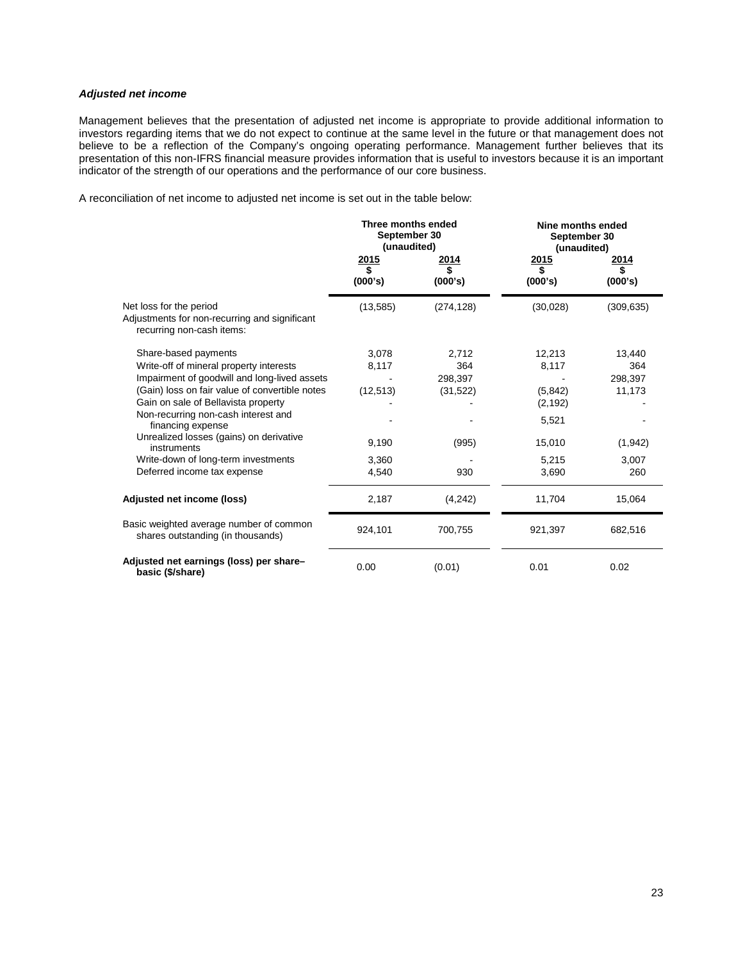# *Adjusted net income*

Management believes that the presentation of adjusted net income is appropriate to provide additional information to investors regarding items that we do not expect to continue at the same level in the future or that management does not believe to be a reflection of the Company's ongoing operating performance. Management further believes that its presentation of this non-IFRS financial measure provides information that is useful to investors because it is an important indicator of the strength of our operations and the performance of our core business.

A reconciliation of net income to adjusted net income is set out in the table below:

|                                                                                                                              | Three months ended<br>September 30<br>(unaudited) |                         | Nine months ended<br>September 30<br>(unaudited) |                          |  |
|------------------------------------------------------------------------------------------------------------------------------|---------------------------------------------------|-------------------------|--------------------------------------------------|--------------------------|--|
|                                                                                                                              | <u>2015</u><br>\$<br>(000's)                      | 2014<br>\$<br>(000's)   | 2015<br>\$<br>(000's)                            | 2014<br>\$<br>(000's)    |  |
| Net loss for the period<br>Adjustments for non-recurring and significant<br>recurring non-cash items:                        | (13, 585)                                         | (274, 128)              | (30,028)                                         | (309, 635)               |  |
| Share-based payments<br>Write-off of mineral property interests<br>Impairment of goodwill and long-lived assets              | 3,078<br>8,117                                    | 2,712<br>364<br>298,397 | 12,213<br>8,117                                  | 13,440<br>364<br>298,397 |  |
| (Gain) loss on fair value of convertible notes<br>Gain on sale of Bellavista property<br>Non-recurring non-cash interest and | (12, 513)                                         | (31, 522)               | (5, 842)<br>(2, 192)                             | 11,173                   |  |
| financing expense<br>Unrealized losses (gains) on derivative<br>instruments                                                  | 9,190                                             | (995)                   | 5,521<br>15,010                                  | (1, 942)                 |  |
| Write-down of long-term investments<br>Deferred income tax expense                                                           | 3,360<br>4,540                                    | 930                     | 5,215<br>3,690                                   | 3,007<br>260             |  |
| Adjusted net income (loss)                                                                                                   | 2,187                                             | (4,242)                 | 11,704                                           | 15,064                   |  |
| Basic weighted average number of common<br>shares outstanding (in thousands)                                                 | 924,101                                           | 700,755                 | 921,397                                          | 682,516                  |  |
| Adjusted net earnings (loss) per share-<br>basic (\$/share)                                                                  | 0.00                                              | (0.01)                  | 0.01                                             | 0.02                     |  |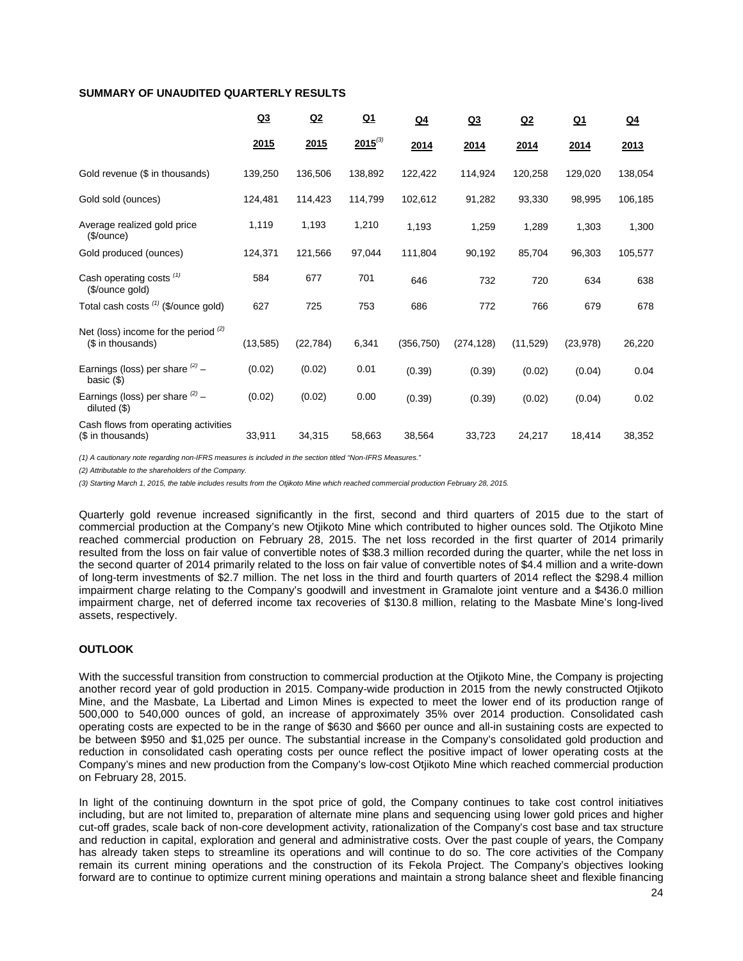## **SUMMARY OF UNAUDITED QUARTERLY RESULTS**

|                                                             | Q <sub>3</sub> | Q2        | $Q_1$        | $Q_4$      | Q <sub>3</sub> | Q2        | <u>Q1</u>   | Q <sub>4</sub> |
|-------------------------------------------------------------|----------------|-----------|--------------|------------|----------------|-----------|-------------|----------------|
|                                                             | 2015           | 2015      | $2015^{(3)}$ | 2014       | 2014           | 2014      | <u>2014</u> | 2013           |
| Gold revenue (\$ in thousands)                              | 139,250        | 136,506   | 138,892      | 122,422    | 114,924        | 120,258   | 129,020     | 138,054        |
| Gold sold (ounces)                                          | 124,481        | 114,423   | 114,799      | 102,612    | 91,282         | 93,330    | 98,995      | 106,185        |
| Average realized gold price<br>(\$/ounce)                   | 1,119          | 1,193     | 1,210        | 1,193      | 1,259          | 1,289     | 1,303       | 1,300          |
| Gold produced (ounces)                                      | 124,371        | 121,566   | 97,044       | 111,804    | 90,192         | 85,704    | 96,303      | 105,577        |
| Cash operating costs <sup>(1)</sup><br>(\$/ounce gold)      | 584            | 677       | 701          | 646        | 732            | 720       | 634         | 638            |
| Total cash costs (1) (\$/ounce gold)                        | 627            | 725       | 753          | 686        | 772            | 766       | 679         | 678            |
| Net (loss) income for the period $(2)$<br>(\$ in thousands) | (13, 585)      | (22, 784) | 6,341        | (356, 750) | (274, 128)     | (11, 529) | (23, 978)   | 26,220         |
| Earnings (loss) per share $(2)$ -<br>basic $($              | (0.02)         | (0.02)    | 0.01         | (0.39)     | (0.39)         | (0.02)    | (0.04)      | 0.04           |
| Earnings (loss) per share $^{(2)}$ -<br>diluted (\$)        | (0.02)         | (0.02)    | 0.00         | (0.39)     | (0.39)         | (0.02)    | (0.04)      | 0.02           |
| Cash flows from operating activities<br>(\$ in thousands)   | 33,911         | 34,315    | 58,663       | 38,564     | 33,723         | 24,217    | 18,414      | 38,352         |

*(1) A cautionary note regarding non-IFRS measures is included in the section titled "Non-IFRS Measures."* 

*(2) Attributable to the shareholders of the Company.*

*(3) Starting March 1, 2015, the table includes results from the Otjikoto Mine which reached commercial production February 28, 2015.*

Quarterly gold revenue increased significantly in the first, second and third quarters of 2015 due to the start of commercial production at the Company's new Otjikoto Mine which contributed to higher ounces sold. The Otjikoto Mine reached commercial production on February 28, 2015. The net loss recorded in the first quarter of 2014 primarily resulted from the loss on fair value of convertible notes of \$38.3 million recorded during the quarter, while the net loss in the second quarter of 2014 primarily related to the loss on fair value of convertible notes of \$4.4 million and a write-down of long-term investments of \$2.7 million. The net loss in the third and fourth quarters of 2014 reflect the \$298.4 million impairment charge relating to the Company's goodwill and investment in Gramalote joint venture and a \$436.0 million impairment charge, net of deferred income tax recoveries of \$130.8 million, relating to the Masbate Mine's long-lived assets, respectively.

# **OUTLOOK**

With the successful transition from construction to commercial production at the Otjikoto Mine, the Company is projecting another record year of gold production in 2015. Company-wide production in 2015 from the newly constructed Otjikoto Mine, and the Masbate, La Libertad and Limon Mines is expected to meet the lower end of its production range of 500,000 to 540,000 ounces of gold, an increase of approximately 35% over 2014 production. Consolidated cash operating costs are expected to be in the range of \$630 and \$660 per ounce and all-in sustaining costs are expected to be between \$950 and \$1,025 per ounce. The substantial increase in the Company's consolidated gold production and reduction in consolidated cash operating costs per ounce reflect the positive impact of lower operating costs at the Company's mines and new production from the Company's low-cost Otjikoto Mine which reached commercial production on February 28, 2015.

In light of the continuing downturn in the spot price of gold, the Company continues to take cost control initiatives including, but are not limited to, preparation of alternate mine plans and sequencing using lower gold prices and higher cut-off grades, scale back of non-core development activity, rationalization of the Company's cost base and tax structure and reduction in capital, exploration and general and administrative costs. Over the past couple of years, the Company has already taken steps to streamline its operations and will continue to do so. The core activities of the Company remain its current mining operations and the construction of its Fekola Project. The Company's objectives looking forward are to continue to optimize current mining operations and maintain a strong balance sheet and flexible financing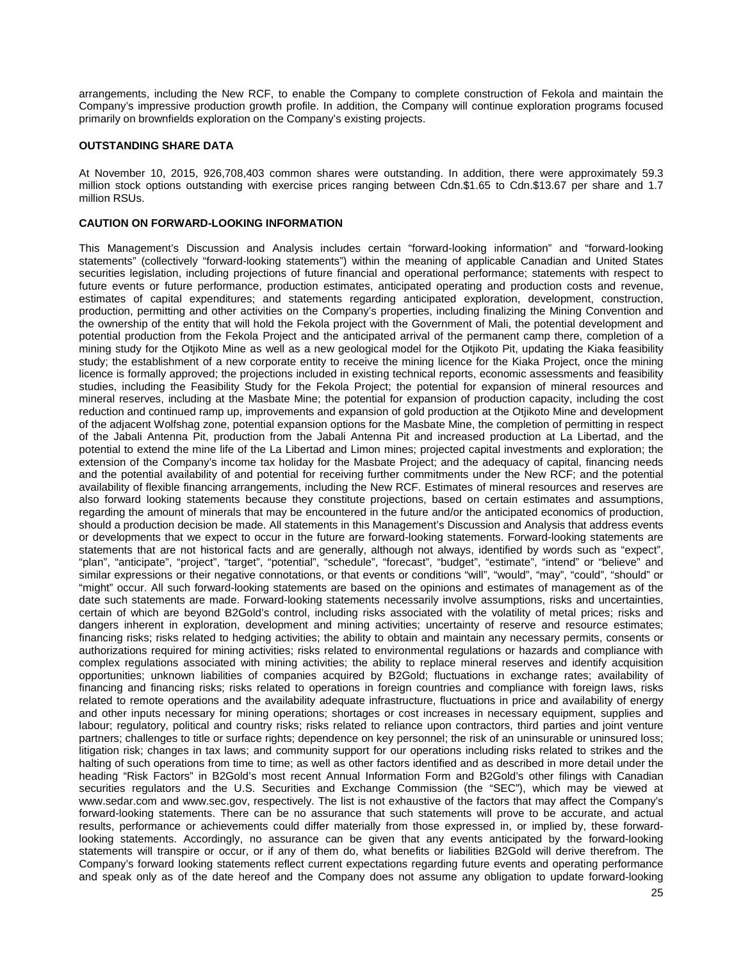arrangements, including the New RCF, to enable the Company to complete construction of Fekola and maintain the Company's impressive production growth profile. In addition, the Company will continue exploration programs focused primarily on brownfields exploration on the Company's existing projects.

### **OUTSTANDING SHARE DATA**

At November 10, 2015, 926,708,403 common shares were outstanding. In addition, there were approximately 59.3 million stock options outstanding with exercise prices ranging between Cdn.\$1.65 to Cdn.\$13.67 per share and 1.7 million RSUs.

## **CAUTION ON FORWARD-LOOKING INFORMATION**

This Management's Discussion and Analysis includes certain "forward-looking information" and "forward-looking statements" (collectively "forward-looking statements") within the meaning of applicable Canadian and United States securities legislation, including projections of future financial and operational performance; statements with respect to future events or future performance, production estimates, anticipated operating and production costs and revenue, estimates of capital expenditures; and statements regarding anticipated exploration, development, construction, production, permitting and other activities on the Company's properties, including finalizing the Mining Convention and the ownership of the entity that will hold the Fekola project with the Government of Mali, the potential development and potential production from the Fekola Project and the anticipated arrival of the permanent camp there, completion of a mining study for the Otjikoto Mine as well as a new geological model for the Otjikoto Pit, updating the Kiaka feasibility study; the establishment of a new corporate entity to receive the mining licence for the Kiaka Project, once the mining licence is formally approved; the projections included in existing technical reports, economic assessments and feasibility studies, including the Feasibility Study for the Fekola Project; the potential for expansion of mineral resources and mineral reserves, including at the Masbate Mine; the potential for expansion of production capacity, including the cost reduction and continued ramp up, improvements and expansion of gold production at the Otjikoto Mine and development of the adjacent Wolfshag zone, potential expansion options for the Masbate Mine, the completion of permitting in respect of the Jabali Antenna Pit, production from the Jabali Antenna Pit and increased production at La Libertad, and the potential to extend the mine life of the La Libertad and Limon mines; projected capital investments and exploration; the extension of the Company's income tax holiday for the Masbate Project; and the adequacy of capital, financing needs and the potential availability of and potential for receiving further commitments under the New RCF; and the potential availability of flexible financing arrangements, including the New RCF. Estimates of mineral resources and reserves are also forward looking statements because they constitute projections, based on certain estimates and assumptions, regarding the amount of minerals that may be encountered in the future and/or the anticipated economics of production, should a production decision be made. All statements in this Management's Discussion and Analysis that address events or developments that we expect to occur in the future are forward-looking statements. Forward-looking statements are statements that are not historical facts and are generally, although not always, identified by words such as "expect", "plan", "anticipate", "project", "target", "potential", "schedule", "forecast", "budget", "estimate", "intend" or "believe" and similar expressions or their negative connotations, or that events or conditions "will", "would", "may", "could", "should" or "might" occur. All such forward-looking statements are based on the opinions and estimates of management as of the date such statements are made. Forward-looking statements necessarily involve assumptions, risks and uncertainties, certain of which are beyond B2Gold's control, including risks associated with the volatility of metal prices; risks and dangers inherent in exploration, development and mining activities; uncertainty of reserve and resource estimates; financing risks; risks related to hedging activities; the ability to obtain and maintain any necessary permits, consents or authorizations required for mining activities; risks related to environmental regulations or hazards and compliance with complex regulations associated with mining activities; the ability to replace mineral reserves and identify acquisition opportunities; unknown liabilities of companies acquired by B2Gold; fluctuations in exchange rates; availability of financing and financing risks; risks related to operations in foreign countries and compliance with foreign laws, risks related to remote operations and the availability adequate infrastructure, fluctuations in price and availability of energy and other inputs necessary for mining operations; shortages or cost increases in necessary equipment, supplies and labour; regulatory, political and country risks; risks related to reliance upon contractors, third parties and joint venture partners; challenges to title or surface rights; dependence on key personnel; the risk of an uninsurable or uninsured loss; litigation risk; changes in tax laws; and community support for our operations including risks related to strikes and the halting of such operations from time to time; as well as other factors identified and as described in more detail under the heading "Risk Factors" in B2Gold's most recent Annual Information Form and B2Gold's other filings with Canadian securities regulators and the U.S. Securities and Exchange Commission (the "SEC"), which may be viewed at www.sedar.com and www.sec.gov, respectively. The list is not exhaustive of the factors that may affect the Company's forward-looking statements. There can be no assurance that such statements will prove to be accurate, and actual results, performance or achievements could differ materially from those expressed in, or implied by, these forwardlooking statements. Accordingly, no assurance can be given that any events anticipated by the forward-looking statements will transpire or occur, or if any of them do, what benefits or liabilities B2Gold will derive therefrom. The Company's forward looking statements reflect current expectations regarding future events and operating performance and speak only as of the date hereof and the Company does not assume any obligation to update forward-looking